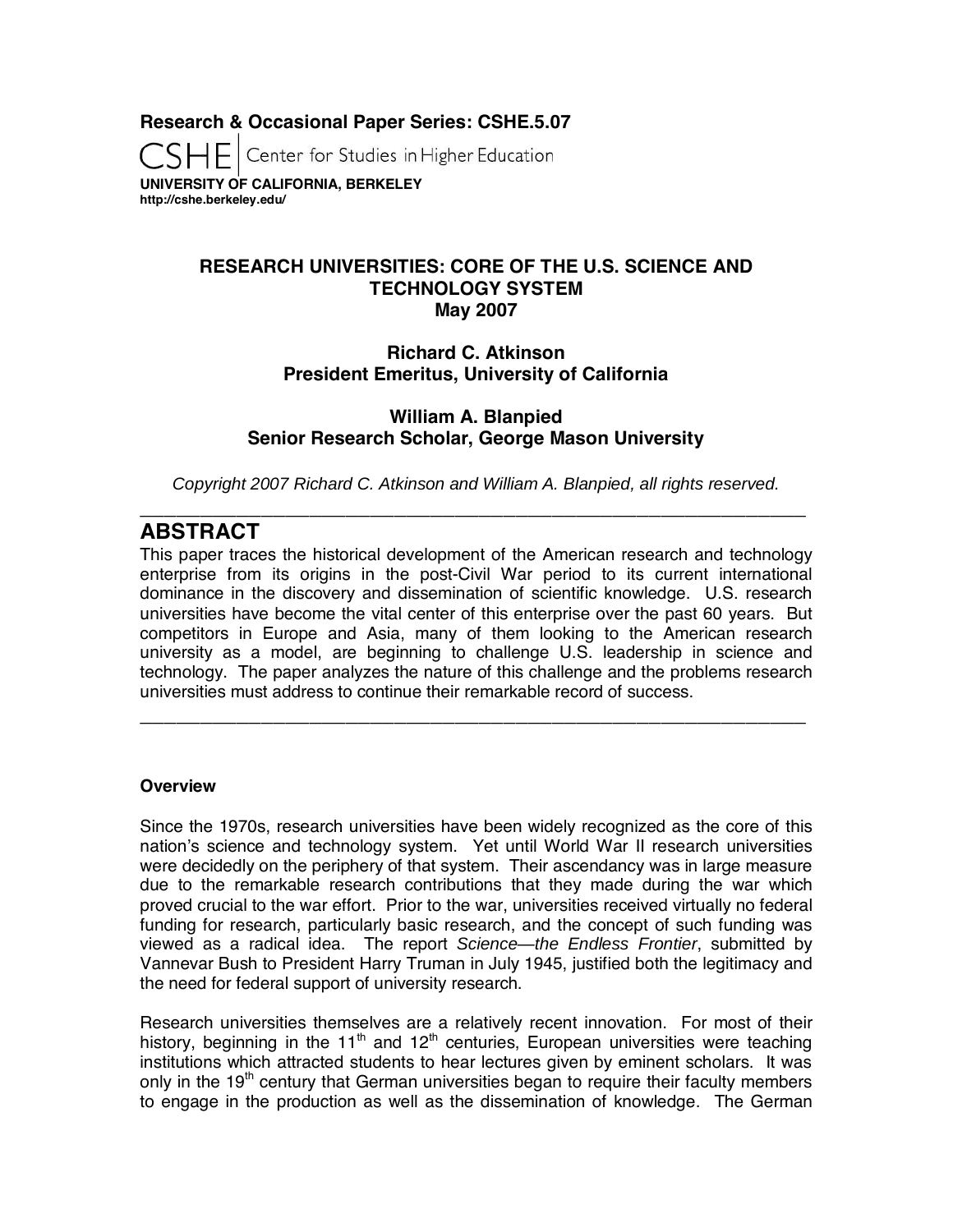**Research & Occasional Paper Series: CSHE.5.07**

 $\mathsf{S}\mathsf{H}\mathsf{F}$  Center for Studies in Higher Education

**UNIVERSITY OF CALIFORNIA, BERKELEY http://cshe.berkeley.edu/**

## **RESEARCH UNIVERSITIES: CORE OF THE U.S. SCIENCE AND TECHNOLOGY SYSTEM May 2007**

## **Richard C. Atkinson President Emeritus, University of California**

## **William A. Blanpied Senior Research Scholar, George Mason University**

Copyright 2007 Richard C. Atkinson and William A. Blanpied, all rights reserved.

# **\_\_\_\_\_\_\_\_\_\_\_\_\_\_\_\_\_\_\_\_\_\_\_\_\_\_\_\_\_\_\_\_\_\_\_\_\_\_\_\_\_\_\_\_\_\_\_\_\_\_\_\_\_\_\_ ABSTRACT**

This paper traces the historical development of the American research and technology enterprise from its origins in the post-Civil War period to its current international dominance in the discovery and dissemination of scientific knowledge. U.S. research universities have become the vital center of this enterprise over the past 60 years. But competitors in Europe and Asia, many of them looking to the American research university as a model, are beginning to challenge U.S. leadership in science and technology. The paper analyzes the nature of this challenge and the problems research universities must address to continue their remarkable record of success.

**\_\_\_\_\_\_\_\_\_\_\_\_\_\_\_\_\_\_\_\_\_\_\_\_\_\_\_\_\_\_\_\_\_\_\_\_\_\_\_\_\_\_\_\_\_\_\_\_\_\_\_\_\_\_\_**

## **Overview**

Since the 1970s, research universities have been widely recognized as the core of this nation's science and technology system. Yet until World War II research universities were decidedly on the periphery of that system. Their ascendancy was in large measure due to the remarkable research contributions that they made during the war which proved crucial to the war effort. Prior to the war, universities received virtually no federal funding for research, particularly basic research, and the concept of such funding was viewed as a radical idea. The report Science—the Endless Frontier, submitted by Vannevar Bush to President Harry Truman in July 1945, justified both the legitimacy and the need for federal support of university research.

Research universities themselves are a relatively recent innovation. For most of their history, beginning in the 11<sup>th</sup> and 12<sup>th</sup> centuries, European universities were teaching institutions which attracted students to hear lectures given by eminent scholars. It was only in the 19<sup>th</sup> century that German universities began to require their faculty members to engage in the production as well as the dissemination of knowledge. The German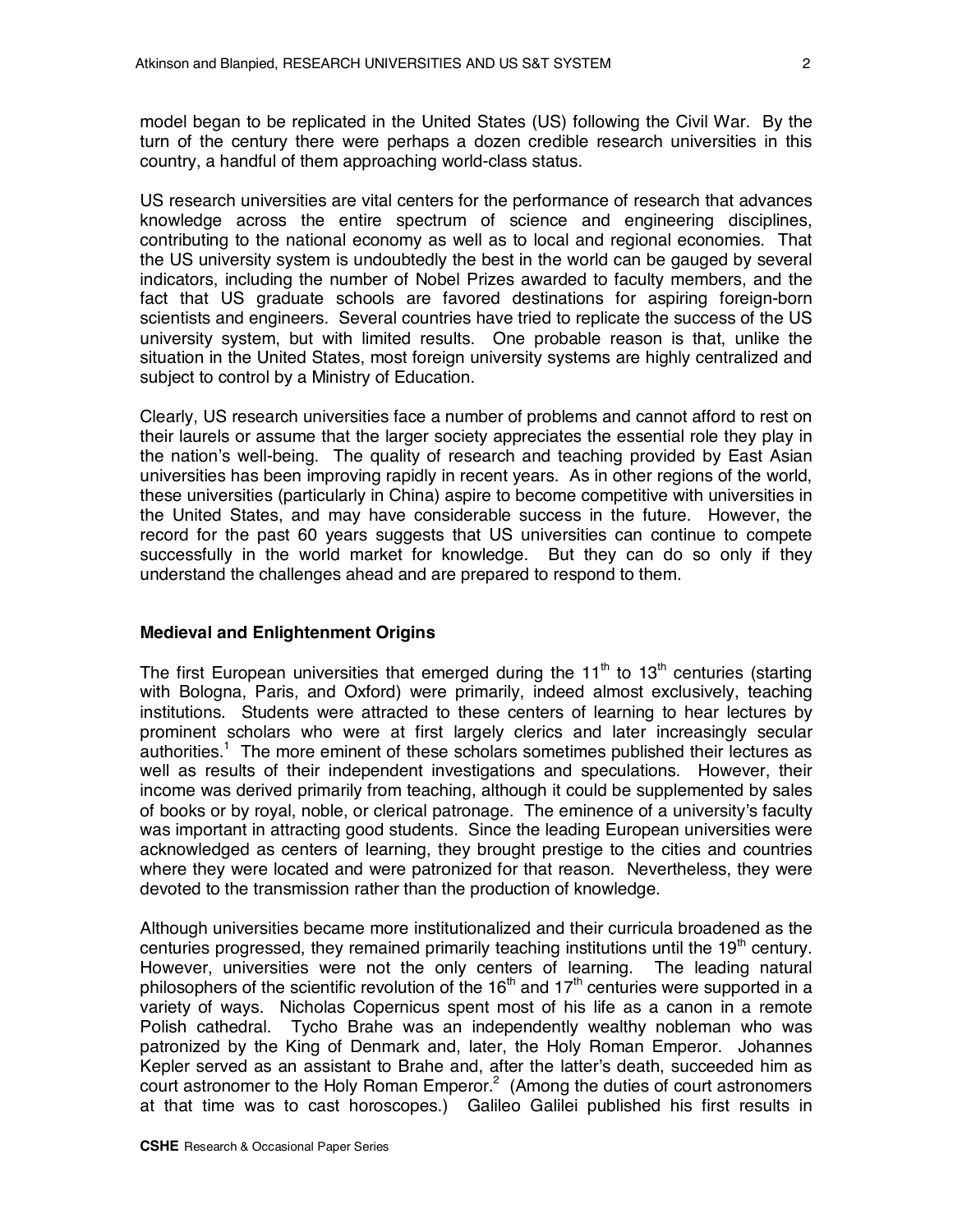model began to be replicated in the United States (US) following the Civil War. By the turn of the century there were perhaps a dozen credible research universities in this country, a handful of them approaching world-class status.

US research universities are vital centers for the performance of research that advances knowledge across the entire spectrum of science and engineering disciplines, contributing to the national economy as well as to local and regional economies. That the US university system is undoubtedly the best in the world can be gauged by several indicators, including the number of Nobel Prizes awarded to faculty members, and the fact that US graduate schools are favored destinations for aspiring foreign-born scientists and engineers. Several countries have tried to replicate the success of the US university system, but with limited results. One probable reason is that, unlike the situation in the United States, most foreign university systems are highly centralized and subject to control by a Ministry of Education.

Clearly, US research universities face a number of problems and cannot afford to rest on their laurels or assume that the larger society appreciates the essential role they play in the nation's well-being. The quality of research and teaching provided by East Asian universities has been improving rapidly in recent years. As in other regions of the world, these universities (particularly in China) aspire to become competitive with universities in the United States, and may have considerable success in the future. However, the record for the past 60 years suggests that US universities can continue to compete successfully in the world market for knowledge. But they can do so only if they understand the challenges ahead and are prepared to respond to them.

### **Medieval and Enlightenment Origins**

The first European universities that emerged during the 11<sup>th</sup> to 13<sup>th</sup> centuries (starting with Bologna, Paris, and Oxford) were primarily, indeed almost exclusively, teaching institutions. Students were attracted to these centers of learning to hear lectures by prominent scholars who were at first largely clerics and later increasingly secular authorities.<sup>1</sup> The more eminent of these scholars sometimes published their lectures as well as results of their independent investigations and speculations. However, their income was derived primarily from teaching, although it could be supplemented by sales of books or by royal, noble, or clerical patronage. The eminence of a university's faculty was important in attracting good students. Since the leading European universities were acknowledged as centers of learning, they brought prestige to the cities and countries where they were located and were patronized for that reason. Nevertheless, they were devoted to the transmission rather than the production of knowledge.

Although universities became more institutionalized and their curricula broadened as the centuries progressed, they remained primarily teaching institutions until the  $19<sup>th</sup>$  century. However, universities were not the only centers of learning. The leading natural philosophers of the scientific revolution of the  $16<sup>th</sup>$  and  $17<sup>th</sup>$  centuries were supported in a variety of ways. Nicholas Copernicus spent most of his life as a canon in a remote Polish cathedral. Tycho Brahe was an independently wealthy nobleman who was patronized by the King of Denmark and, later, the Holy Roman Emperor. Johannes Kepler served as an assistant to Brahe and, after the latter's death, succeeded him as court astronomer to the Holy Roman Emperor. $^2$  (Among the duties of court astronomers at that time was to cast horoscopes.) Galileo Galilei published his first results in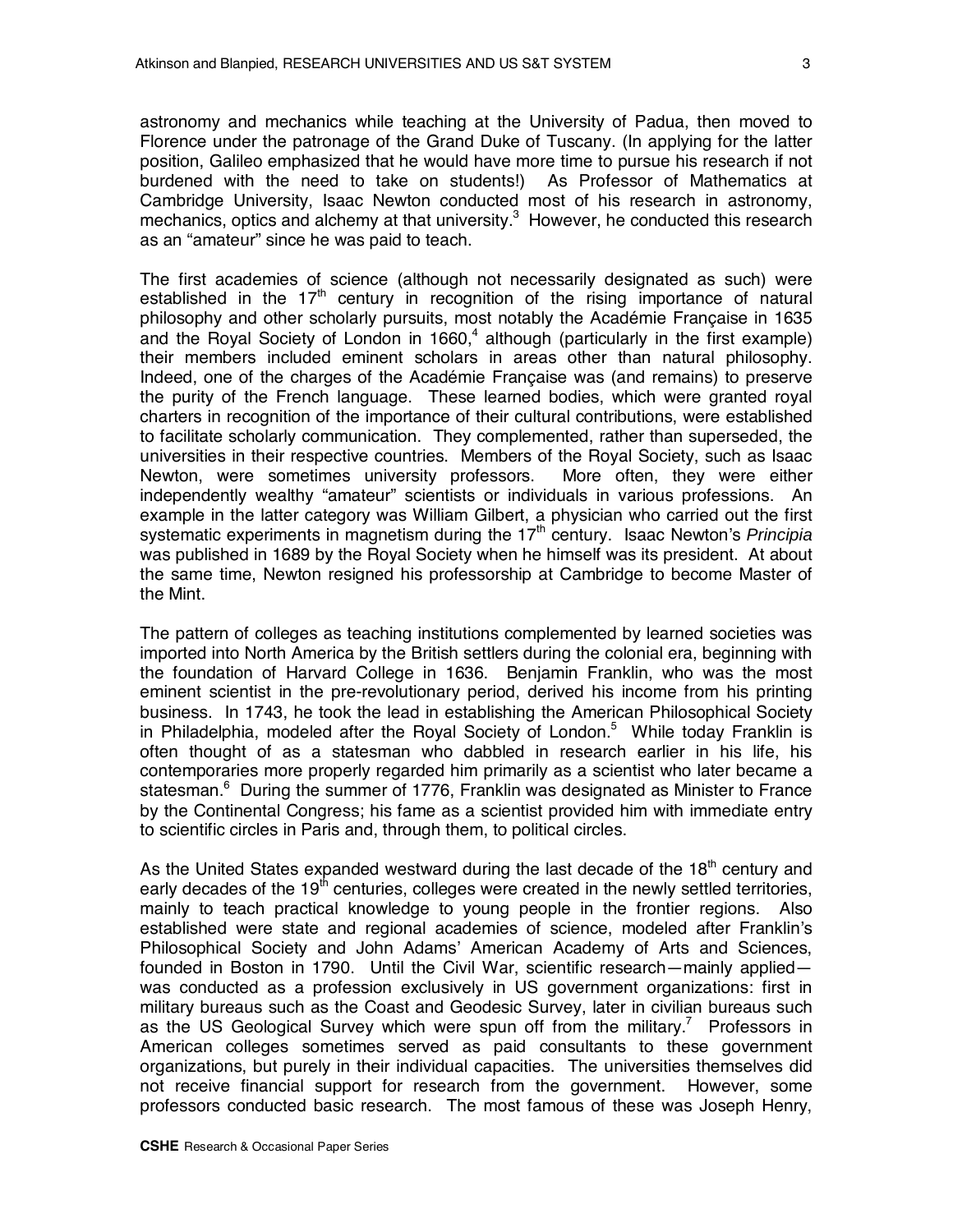astronomy and mechanics while teaching at the University of Padua, then moved to Florence under the patronage of the Grand Duke of Tuscany. (In applying for the latter position, Galileo emphasized that he would have more time to pursue his research if not burdened with the need to take on students!) As Professor of Mathematics at Cambridge University, Isaac Newton conducted most of his research in astronomy, mechanics, optics and alchemy at that university. $3$  However, he conducted this research as an "amateur" since he was paid to teach.

The first academies of science (although not necessarily designated as such) were established in the  $17<sup>th</sup>$  century in recognition of the rising importance of natural philosophy and other scholarly pursuits, most notably the Académie Française in 1635 and the Royal Society of London in 1660, <sup>4</sup> although (particularly in the first example) their members included eminent scholars in areas other than natural philosophy. Indeed, one of the charges of the Académie Française was (and remains) to preserve the purity of the French language. These learned bodies, which were granted royal charters in recognition of the importance of their cultural contributions, were established to facilitate scholarly communication. They complemented, rather than superseded, the universities in their respective countries. Members of the Royal Society, such as Isaac Newton, were sometimes university professors. More often, they were either independently wealthy "amateur" scientists or individuals in various professions. An example in the latter category was William Gilbert, a physician who carried out the first systematic experiments in magnetism during the  $17<sup>th</sup>$  century. Isaac Newton's *Principia* was published in 1689 by the Royal Society when he himself was its president. At about the same time, Newton resigned his professorship at Cambridge to become Master of the Mint.

The pattern of colleges as teaching institutions complemented by learned societies was imported into North America by the British settlers during the colonial era, beginning with the foundation of Harvard College in 1636. Benjamin Franklin, who was the most eminent scientist in the pre-revolutionary period, derived his income from his printing business. In 1743, he took the lead in establishing the American Philosophical Society in Philadelphia, modeled after the Royal Society of London.<sup>5</sup> While today Franklin is often thought of as a statesman who dabbled in research earlier in his life, his contemporaries more properly regarded him primarily as a scientist who later became a statesman.<sup>6</sup> During the summer of 1776, Franklin was designated as Minister to France by the Continental Congress; his fame as a scientist provided him with immediate entry to scientific circles in Paris and, through them, to political circles.

As the United States expanded westward during the last decade of the  $18<sup>th</sup>$  century and early decades of the  $19<sup>th</sup>$  centuries, colleges were created in the newly settled territories, mainly to teach practical knowledge to young people in the frontier regions. Also established were state and regional academies of science, modeled after Franklin's Philosophical Society and John Adams' American Academy of Arts and Sciences, founded in Boston in 1790. Until the Civil War, scientific research—mainly applied was conducted as a profession exclusively in US government organizations: first in military bureaus such as the Coast and Geodesic Survey, later in civilian bureaus such as the US Geological Survey which were spun off from the military.<sup>7</sup> Professors in American colleges sometimes served as paid consultants to these government organizations, but purely in their individual capacities. The universities themselves did not receive financial support for research from the government. However, some professors conducted basic research. The most famous of these was Joseph Henry,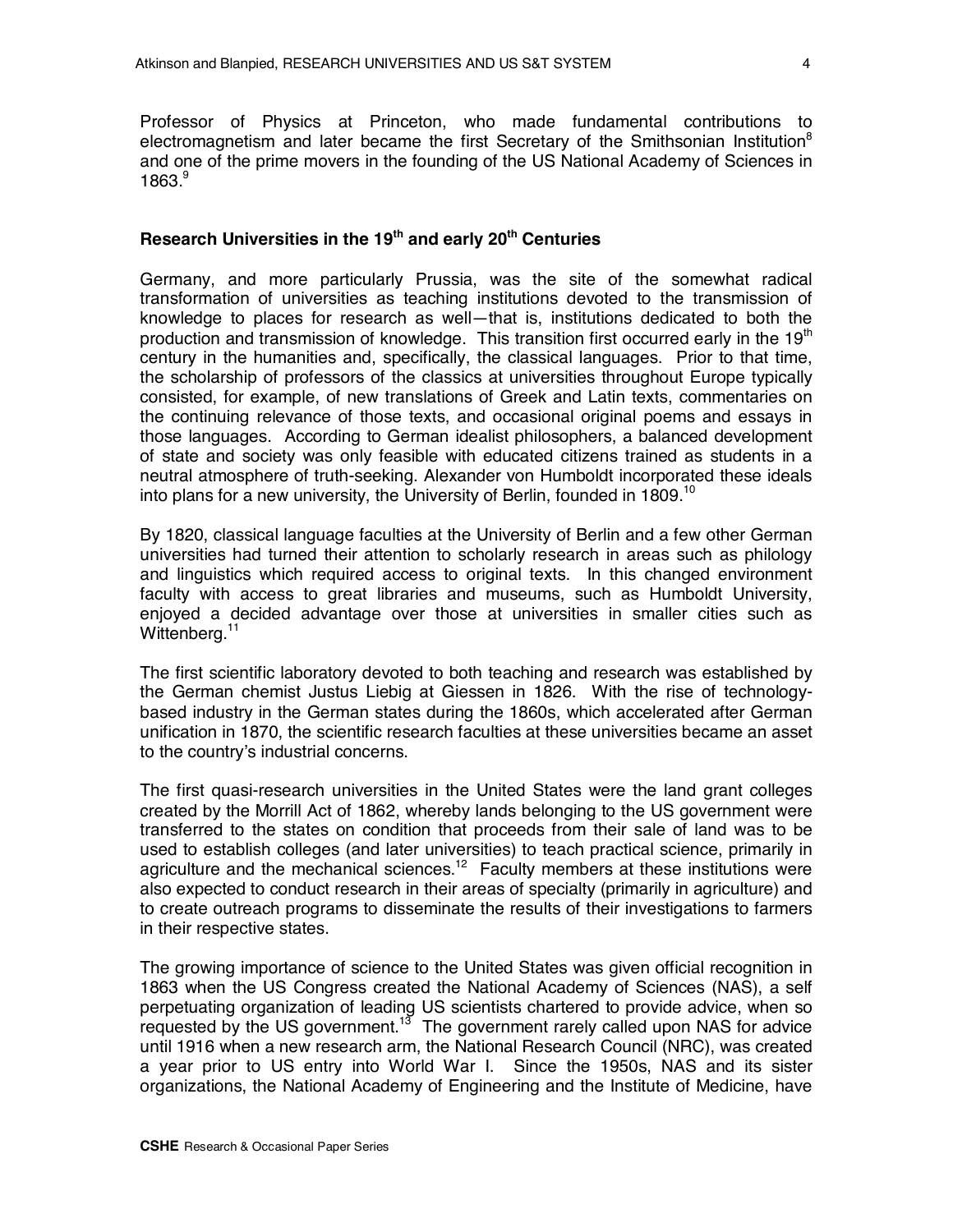Professor of Physics at Princeton, who made fundamental contributions to electromagnetism and later became the first Secretary of the Smithsonian Institution $<sup>8</sup>$ </sup> and one of the prime movers in the founding of the US National Academy of Sciences in 1863. 9

## **Research Universities in the 19th and early 20th Centuries**

Germany, and more particularly Prussia, was the site of the somewhat radical transformation of universities as teaching institutions devoted to the transmission of knowledge to places for research as well—that is, institutions dedicated to both the production and transmission of knowledge. This transition first occurred early in the 19<sup>th</sup> century in the humanities and, specifically, the classical languages. Prior to that time, the scholarship of professors of the classics at universities throughout Europe typically consisted, for example, of new translations of Greek and Latin texts, commentaries on the continuing relevance of those texts, and occasional original poems and essays in those languages. According to German idealist philosophers, a balanced development of state and society was only feasible with educated citizens trained as students in a neutral atmosphere of truth-seeking. Alexander von Humboldt incorporated these ideals into plans for a new university, the University of Berlin, founded in 1809.<sup>10</sup>

By 1820, classical language faculties at the University of Berlin and a few other German universities had turned their attention to scholarly research in areas such as philology and linguistics which required access to original texts. In this changed environment faculty with access to great libraries and museums, such as Humboldt University, enjoyed a decided advantage over those at universities in smaller cities such as Wittenberg.<sup>11</sup>

The first scientific laboratory devoted to both teaching and research was established by the German chemist Justus Liebig at Giessen in 1826. With the rise of technologybased industry in the German states during the 1860s, which accelerated after German unification in 1870, the scientific research faculties at these universities became an asset to the country's industrial concerns.

The first quasi-research universities in the United States were the land grant colleges created by the Morrill Act of 1862, whereby lands belonging to the US government were transferred to the states on condition that proceeds from their sale of land was to be used to establish colleges (and later universities) to teach practical science, primarily in agriculture and the mechanical sciences.<sup>12</sup> Faculty members at these institutions were also expected to conduct research in their areas of specialty (primarily in agriculture) and to create outreach programs to disseminate the results of their investigations to farmers in their respective states.

The growing importance of science to the United States was given official recognition in 1863 when the US Congress created the National Academy of Sciences (NAS), a self perpetuating organization of leading US scientists chartered to provide advice, when so requested by the US government.<sup>13</sup> The government rarely called upon NAS for advice until 1916 when a new research arm, the National Research Council (NRC), was created a year prior to US entry into World War I. Since the 1950s, NAS and its sister organizations, the National Academy of Engineering and the Institute of Medicine, have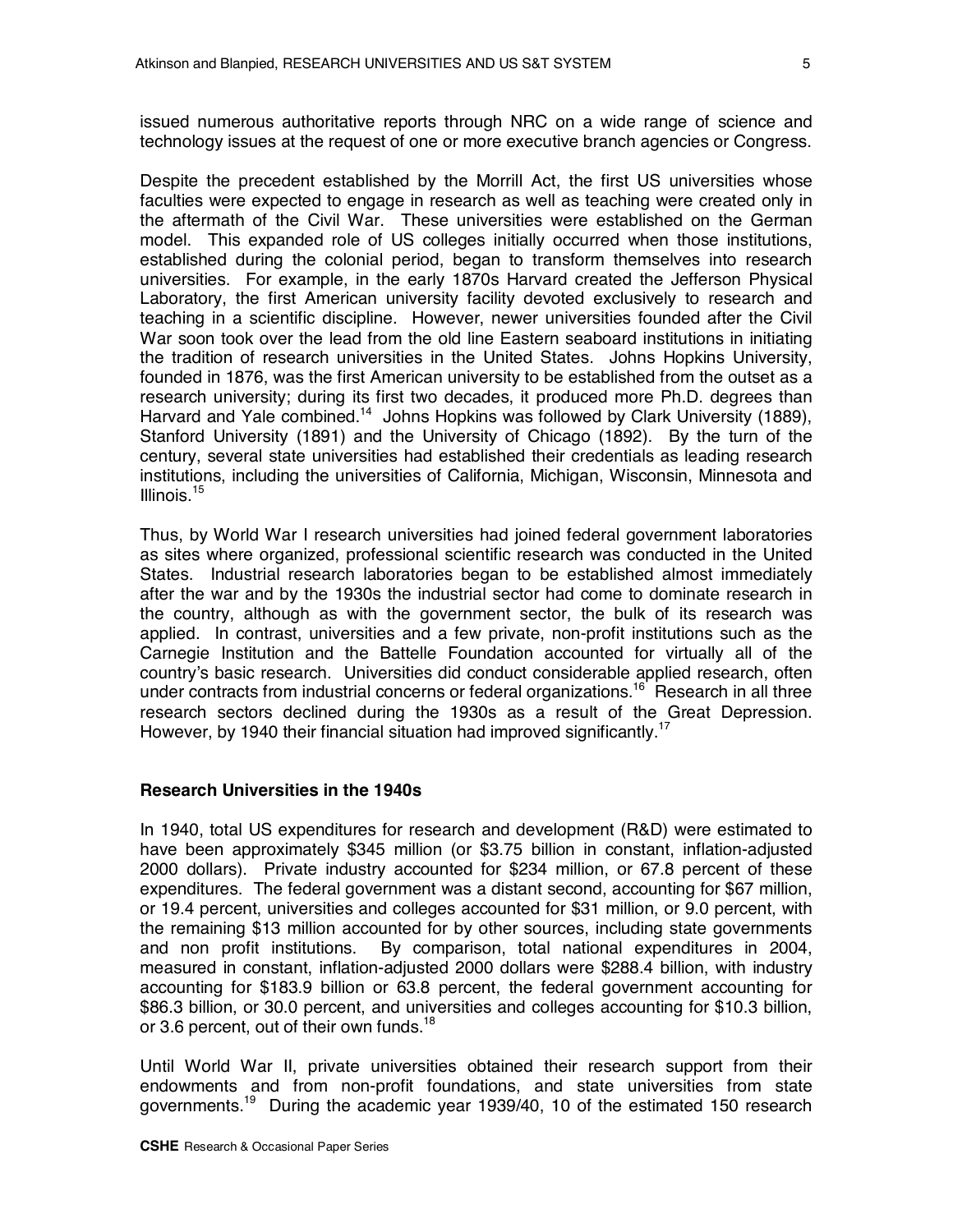issued numerous authoritative reports through NRC on a wide range of science and technology issues at the request of one or more executive branch agencies or Congress.

Despite the precedent established by the Morrill Act, the first US universities whose faculties were expected to engage in research as well as teaching were created only in the aftermath of the Civil War. These universities were established on the German model. This expanded role of US colleges initially occurred when those institutions, established during the colonial period, began to transform themselves into research universities. For example, in the early 1870s Harvard created the Jefferson Physical Laboratory, the first American university facility devoted exclusively to research and teaching in a scientific discipline. However, newer universities founded after the Civil War soon took over the lead from the old line Eastern seaboard institutions in initiating the tradition of research universities in the United States. Johns Hopkins University, founded in 1876, was the first American university to be established from the outset as a research university; during its first two decades, it produced more Ph.D. degrees than Harvard and Yale combined.<sup>14</sup> Johns Hopkins was followed by Clark University (1889), Stanford University (1891) and the University of Chicago (1892). By the turn of the century, several state universities had established their credentials as leading research institutions, including the universities of California, Michigan, Wisconsin, Minnesota and Illinois. $15$ 

Thus, by World War I research universities had joined federal government laboratories as sites where organized, professional scientific research was conducted in the United States. Industrial research laboratories began to be established almost immediately after the war and by the 1930s the industrial sector had come to dominate research in the country, although as with the government sector, the bulk of its research was applied. In contrast, universities and a few private, non-profit institutions such as the Carnegie Institution and the Battelle Foundation accounted for virtually all of the country's basic research. Universities did conduct considerable applied research, often under contracts from industrial concerns or federal organizations.<sup>16</sup> Research in all three research sectors declined during the 1930s as a result of the Great Depression. However, by 1940 their financial situation had improved significantly.<sup>17</sup>

### **Research Universities in the 1940s**

In 1940, total US expenditures for research and development (R&D) were estimated to have been approximately \$345 million (or \$3.75 billion in constant, inflation-adjusted 2000 dollars). Private industry accounted for \$234 million, or 67.8 percent of these expenditures. The federal government was a distant second, accounting for \$67 million, or 19.4 percent, universities and colleges accounted for \$31 million, or 9.0 percent, with the remaining \$13 million accounted for by other sources, including state governments and non profit institutions. By comparison, total national expenditures in 2004, measured in constant, inflation-adjusted 2000 dollars were \$288.4 billion, with industry accounting for \$183.9 billion or 63.8 percent, the federal government accounting for \$86.3 billion, or 30.0 percent, and universities and colleges accounting for \$10.3 billion, or 3.6 percent, out of their own funds.<sup>18</sup>

Until World War II, private universities obtained their research support from their endowments and from non-profit foundations, and state universities from state governments.<sup>19</sup> During the academic year 1939/40, 10 of the estimated 150 research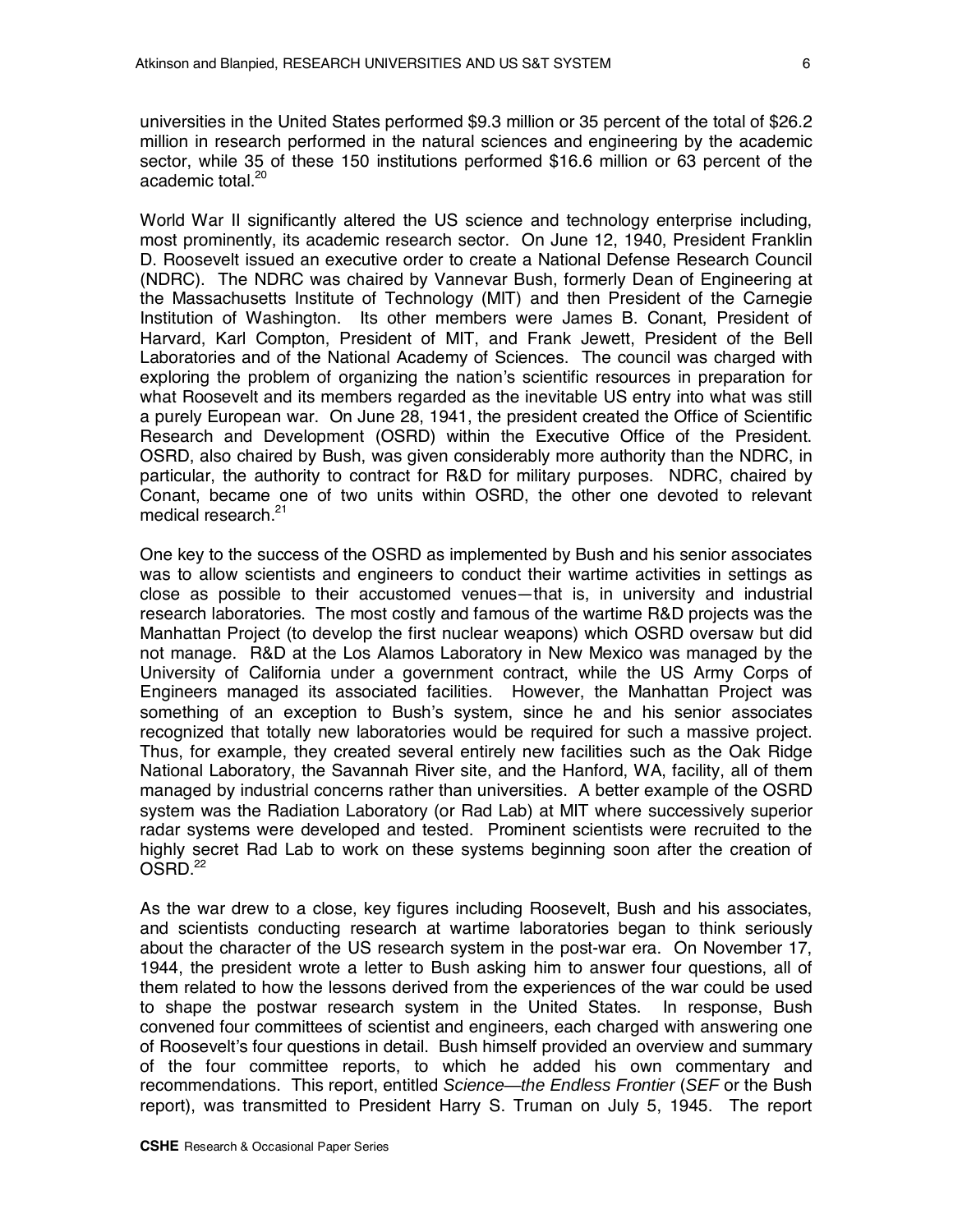universities in the United States performed \$9.3 million or 35 percent of the total of \$26.2 million in research performed in the natural sciences and engineering by the academic sector, while 35 of these 150 institutions performed \$16.6 million or 63 percent of the academic total. 20

World War II significantly altered the US science and technology enterprise including, most prominently, its academic research sector. On June 12, 1940, President Franklin D. Roosevelt issued an executive order to create a National Defense Research Council (NDRC). The NDRC was chaired by Vannevar Bush, formerly Dean of Engineering at the Massachusetts Institute of Technology (MIT) and then President of the Carnegie Institution of Washington. Its other members were James B. Conant, President of Harvard, Karl Compton, President of MIT, and Frank Jewett, President of the Bell Laboratories and of the National Academy of Sciences. The council was charged with exploring the problem of organizing the nation's scientific resources in preparation for what Roosevelt and its members regarded as the inevitable US entry into what was still a purely European war. On June 28, 1941, the president created the Office of Scientific Research and Development (OSRD) within the Executive Office of the President. OSRD, also chaired by Bush, was given considerably more authority than the NDRC, in particular, the authority to contract for R&D for military purposes. NDRC, chaired by Conant, became one of two units within OSRD, the other one devoted to relevant medical research. 21

One key to the success of the OSRD as implemented by Bush and his senior associates was to allow scientists and engineers to conduct their wartime activities in settings as close as possible to their accustomed venues—that is, in university and industrial research laboratories. The most costly and famous of the wartime R&D projects was the Manhattan Project (to develop the first nuclear weapons) which OSRD oversaw but did not manage. R&D at the Los Alamos Laboratory in New Mexico was managed by the University of California under a government contract, while the US Army Corps of Engineers managed its associated facilities. However, the Manhattan Project was something of an exception to Bush's system, since he and his senior associates recognized that totally new laboratories would be required for such a massive project. Thus, for example, they created several entirely new facilities such as the Oak Ridge National Laboratory, the Savannah River site, and the Hanford, WA, facility, all of them managed by industrial concerns rather than universities. A better example of the OSRD system was the Radiation Laboratory (or Rad Lab) at MIT where successively superior radar systems were developed and tested. Prominent scientists were recruited to the highly secret Rad Lab to work on these systems beginning soon after the creation of OSRD.<sup>22</sup>

As the war drew to a close, key figures including Roosevelt, Bush and his associates, and scientists conducting research at wartime laboratories began to think seriously about the character of the US research system in the post-war era. On November 17, 1944, the president wrote a letter to Bush asking him to answer four questions, all of them related to how the lessons derived from the experiences of the war could be used to shape the postwar research system in the United States. In response, Bush convened four committees of scientist and engineers, each charged with answering one of Roosevelt's four questions in detail. Bush himself provided an overview and summary of the four committee reports, to which he added his own commentary and recommendations. This report, entitled Science—the Endless Frontier (SEF or the Bush report), was transmitted to President Harry S. Truman on July 5, 1945. The report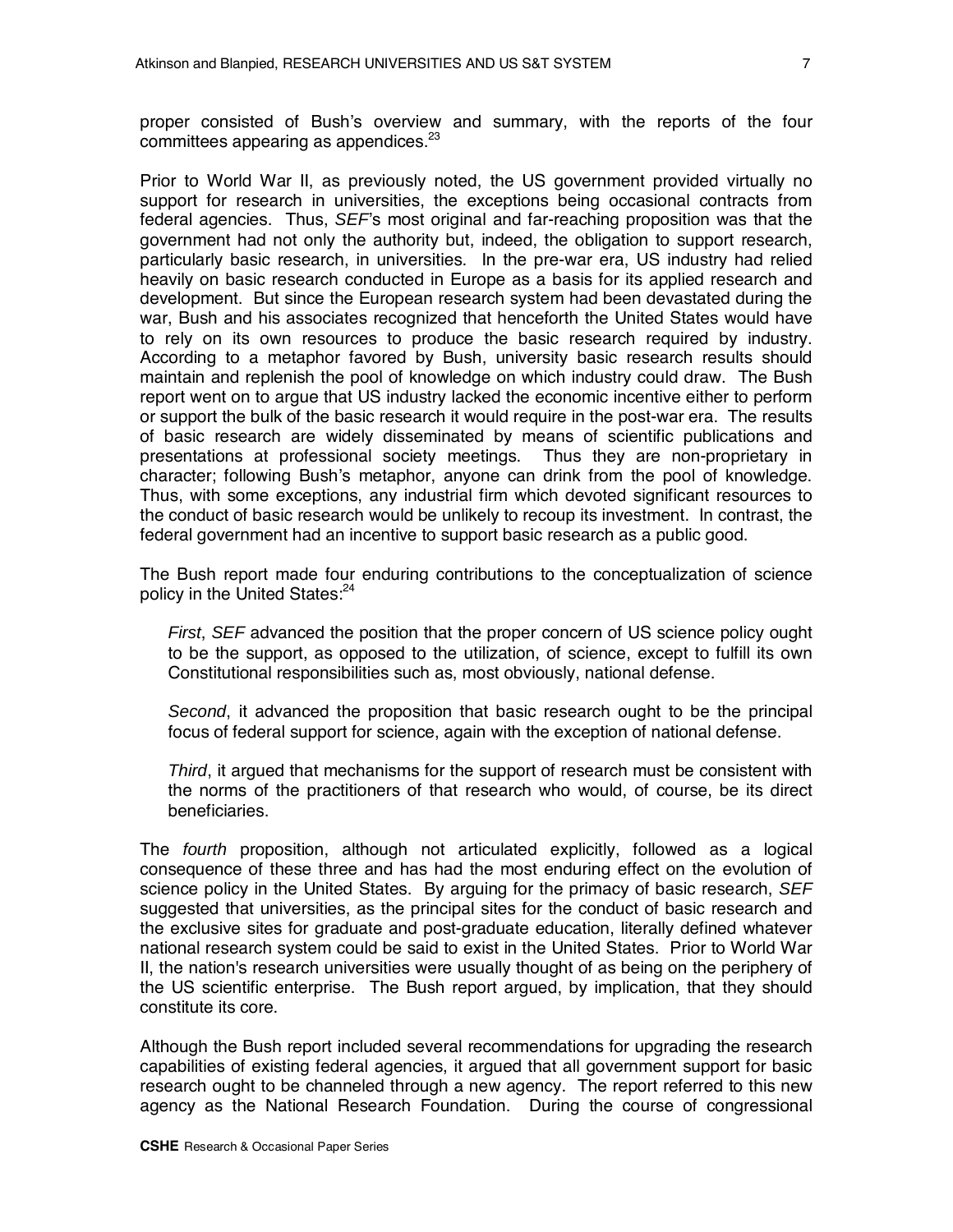proper consisted of Bush's overview and summary, with the reports of the four committees appearing as appendices. $23$ 

Prior to World War II, as previously noted, the US government provided virtually no support for research in universities, the exceptions being occasional contracts from federal agencies. Thus,  $SEFs$  most original and far-reaching proposition was that the government had not only the authority but, indeed, the obligation to support research, particularly basic research, in universities. In the pre-war era, US industry had relied heavily on basic research conducted in Europe as a basis for its applied research and development. But since the European research system had been devastated during the war, Bush and his associates recognized that henceforth the United States would have to rely on its own resources to produce the basic research required by industry. According to a metaphor favored by Bush, university basic research results should maintain and replenish the pool of knowledge on which industry could draw. The Bush report went on to argue that US industry lacked the economic incentive either to perform or support the bulk of the basic research it would require in the post-war era. The results of basic research are widely disseminated by means of scientific publications and presentations at professional society meetings. Thus they are non-proprietary in character; following Bush's metaphor, anyone can drink from the pool of knowledge. Thus, with some exceptions, any industrial firm which devoted significant resources to the conduct of basic research would be unlikely to recoup its investment. In contrast, the federal government had an incentive to support basic research as a public good.

The Bush report made four enduring contributions to the conceptualization of science policy in the United States:<sup>24</sup>

First, SEF advanced the position that the proper concern of US science policy ought to be the support, as opposed to the utilization, of science, except to fulfill its own Constitutional responsibilities such as, most obviously, national defense.

Second, it advanced the proposition that basic research ought to be the principal focus of federal support for science, again with the exception of national defense.

Third, it argued that mechanisms for the support of research must be consistent with the norms of the practitioners of that research who would, of course, be its direct beneficiaries.

The *fourth* proposition, although not articulated explicitly, followed as a logical consequence of these three and has had the most enduring effect on the evolution of science policy in the United States. By arguing for the primacy of basic research, SEF suggested that universities, as the principal sites for the conduct of basic research and the exclusive sites for graduate and post-graduate education, literally defined whatever national research system could be said to exist in the United States. Prior to World War II, the nation's research universities were usually thought of as being on the periphery of the US scientific enterprise. The Bush report argued, by implication, that they should constitute its core.

Although the Bush report included several recommendations for upgrading the research capabilities of existing federal agencies, it argued that all government support for basic research ought to be channeled through a new agency. The report referred to this new agency as the National Research Foundation. During the course of congressional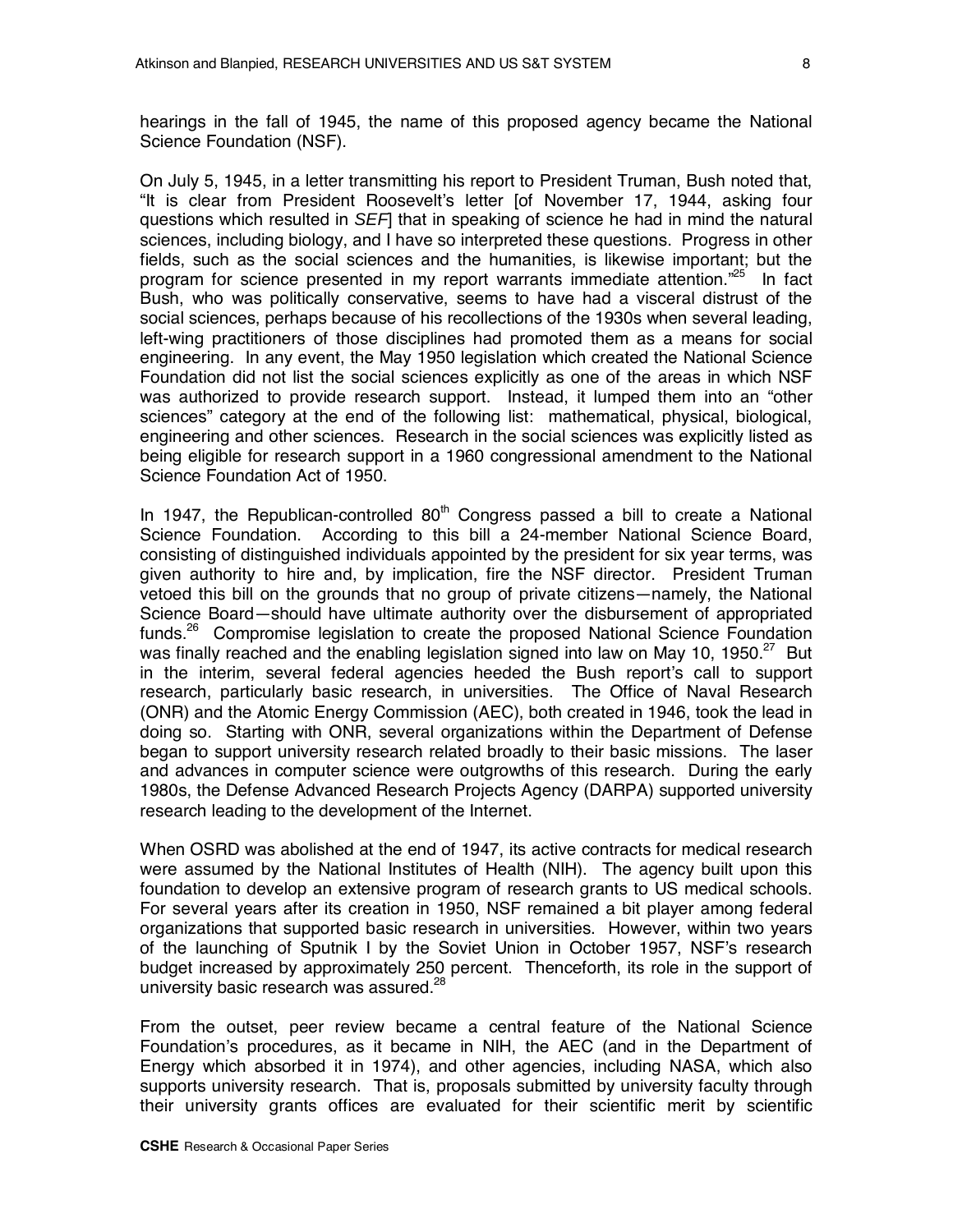hearings in the fall of 1945, the name of this proposed agency became the National Science Foundation (NSF).

On July 5, 1945, in a letter transmitting his report to President Truman, Bush noted that, "It is clear from President Roosevelt's letter [of November 17, 1944, asking four questions which resulted in SEF that in speaking of science he had in mind the natural sciences, including biology, and I have so interpreted these questions. Progress in other fields, such as the social sciences and the humanities, is likewise important; but the program for science presented in my report warrants immediate attention."<sup>25</sup> In fact Bush, who was politically conservative, seems to have had a visceral distrust of the social sciences, perhaps because of his recollections of the 1930s when several leading, left-wing practitioners of those disciplines had promoted them as a means for social engineering. In any event, the May 1950 legislation which created the National Science Foundation did not list the social sciences explicitly as one of the areas in which NSF was authorized to provide research support. Instead, it lumped them into an "other sciences" category at the end of the following list: mathematical, physical, biological, engineering and other sciences. Research in the social sciences was explicitly listed as being eligible for research support in a 1960 congressional amendment to the National Science Foundation Act of 1950.

In 1947, the Republican-controlled  $80<sup>th</sup>$  Congress passed a bill to create a National Science Foundation. According to this bill a 24-member National Science Board, consisting of distinguished individuals appointed by the president for six year terms, was given authority to hire and, by implication, fire the NSF director. President Truman vetoed this bill on the grounds that no group of private citizens—namely, the National Science Board—should have ultimate authority over the disbursement of appropriated funds.<sup>26</sup> Compromise legislation to create the proposed National Science Foundation was finally reached and the enabling legislation signed into law on May 10, 1950.<sup>27</sup> But in the interim, several federal agencies heeded the Bush report's call to support research, particularly basic research, in universities. The Office of Naval Research (ONR) and the Atomic Energy Commission (AEC), both created in 1946, took the lead in doing so. Starting with ONR, several organizations within the Department of Defense began to support university research related broadly to their basic missions. The laser and advances in computer science were outgrowths of this research. During the early 1980s, the Defense Advanced Research Projects Agency (DARPA) supported university research leading to the development of the Internet.

When OSRD was abolished at the end of 1947, its active contracts for medical research were assumed by the National Institutes of Health (NIH). The agency built upon this foundation to develop an extensive program of research grants to US medical schools. For several years after its creation in 1950, NSF remained a bit player among federal organizations that supported basic research in universities. However, within two years of the launching of Sputnik I by the Soviet Union in October 1957, NSF's research budget increased by approximately 250 percent. Thenceforth, its role in the support of university basic research was assured.<sup>28</sup>

From the outset, peer review became a central feature of the National Science Foundation's procedures, as it became in NIH, the AEC (and in the Department of Energy which absorbed it in 1974), and other agencies, including NASA, which also supports university research. That is, proposals submitted by university faculty through their university grants offices are evaluated for their scientific merit by scientific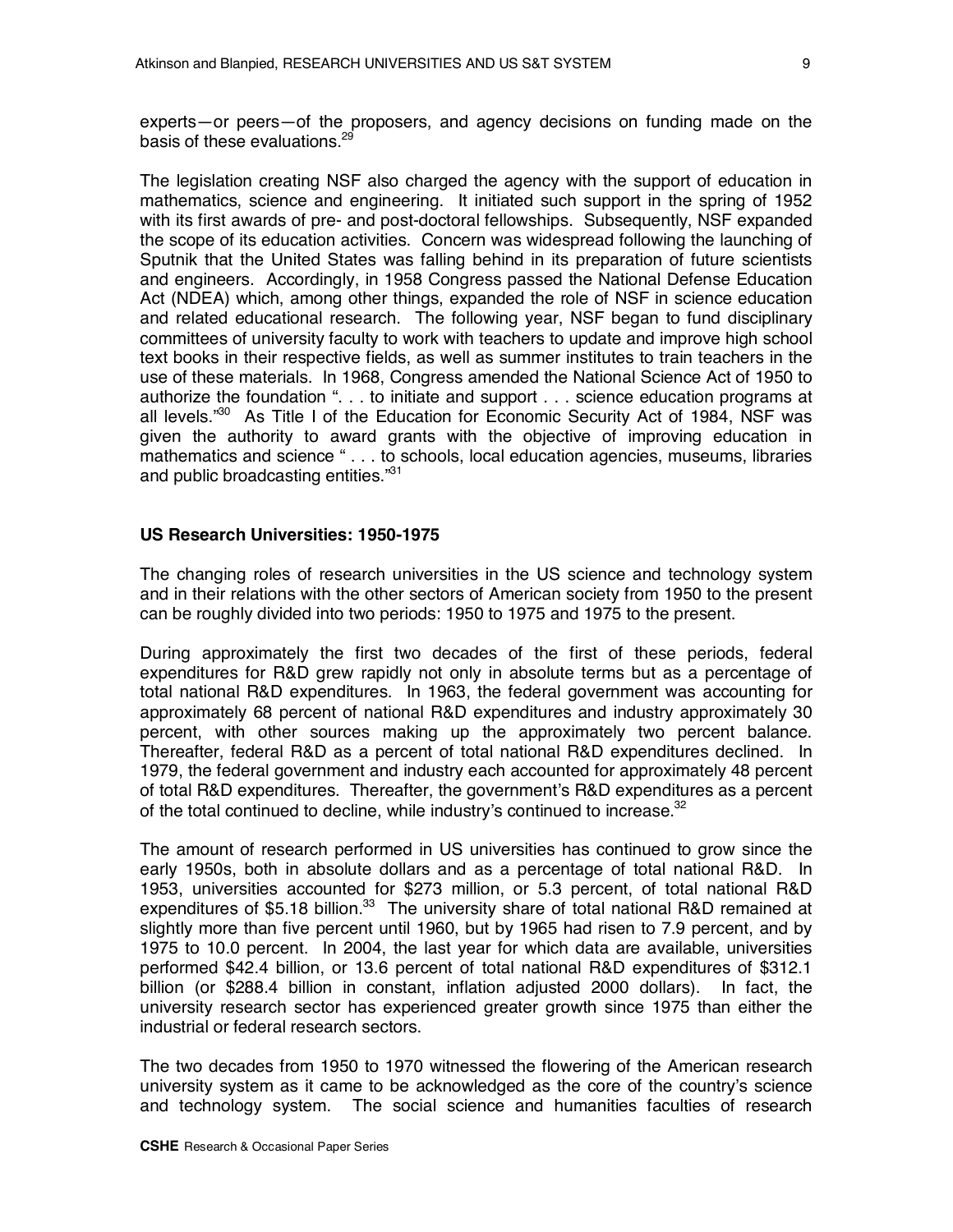experts—or peers—of the proposers, and agency decisions on funding made on the basis of these evaluations.<sup>29</sup>

The legislation creating NSF also charged the agency with the support of education in mathematics, science and engineering. It initiated such support in the spring of 1952 with its first awards of pre- and post-doctoral fellowships. Subsequently, NSF expanded the scope of its education activities. Concern was widespread following the launching of Sputnik that the United States was falling behind in its preparation of future scientists and engineers. Accordingly, in 1958 Congress passed the National Defense Education Act (NDEA) which, among other things, expanded the role of NSF in science education and related educational research. The following year, NSF began to fund disciplinary committees of university faculty to work with teachers to update and improve high school text books in their respective fields, as well as summer institutes to train teachers in the use of these materials. In 1968, Congress amended the National Science Act of 1950 to authorize the foundation ". . . to initiate and support . . . science education programs at all levels."<sup>30</sup> As Title I of the Education for Economic Security Act of 1984, NSF was given the authority to award grants with the objective of improving education in mathematics and science " . . . to schools, local education agencies, museums, libraries and public broadcasting entities."<sup>31</sup>

### **US Research Universities: 1950-1975**

The changing roles of research universities in the US science and technology system and in their relations with the other sectors of American society from 1950 to the present can be roughly divided into two periods: 1950 to 1975 and 1975 to the present.

During approximately the first two decades of the first of these periods, federal expenditures for R&D grew rapidly not only in absolute terms but as a percentage of total national R&D expenditures. In 1963, the federal government was accounting for approximately 68 percent of national R&D expenditures and industry approximately 30 percent, with other sources making up the approximately two percent balance. Thereafter, federal R&D as a percent of total national R&D expenditures declined. In 1979, the federal government and industry each accounted for approximately 48 percent of total R&D expenditures. Thereafter, the government's R&D expenditures as a percent of the total continued to decline, while industry's continued to increase.<sup>32</sup>

The amount of research performed in US universities has continued to grow since the early 1950s, both in absolute dollars and as a percentage of total national R&D. In 1953, universities accounted for \$273 million, or 5.3 percent, of total national R&D expenditures of \$5.18 billion.<sup>33</sup> The university share of total national R&D remained at slightly more than five percent until 1960, but by 1965 had risen to 7.9 percent, and by 1975 to 10.0 percent. In 2004, the last year for which data are available, universities performed \$42.4 billion, or 13.6 percent of total national R&D expenditures of \$312.1 billion (or \$288.4 billion in constant, inflation adjusted 2000 dollars). In fact, the university research sector has experienced greater growth since 1975 than either the industrial or federal research sectors.

The two decades from 1950 to 1970 witnessed the flowering of the American research university system as it came to be acknowledged as the core of the country's science and technology system. The social science and humanities faculties of research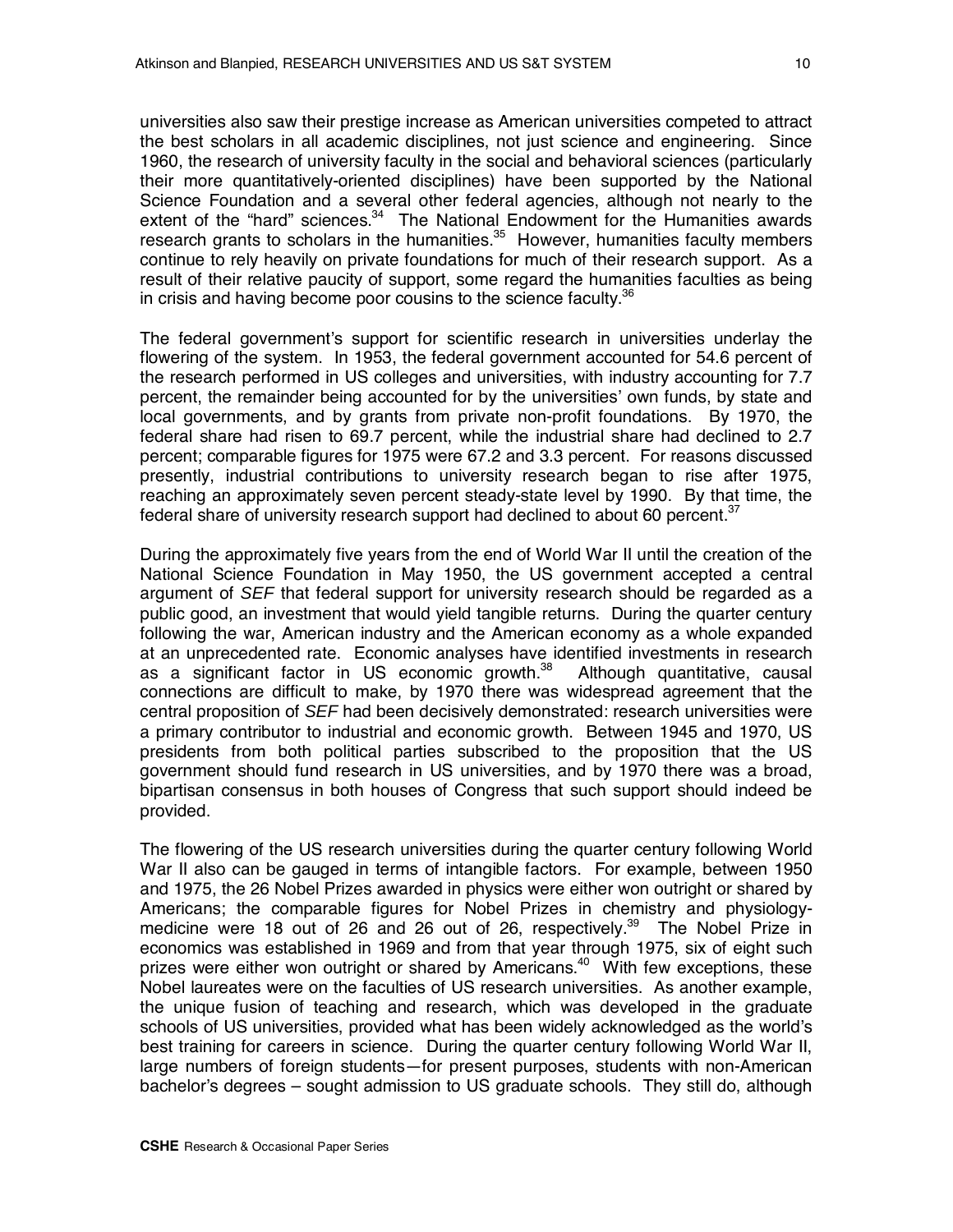universities also saw their prestige increase as American universities competed to attract the best scholars in all academic disciplines, not just science and engineering. Since 1960, the research of university faculty in the social and behavioral sciences (particularly their more quantitatively-oriented disciplines) have been supported by the National Science Foundation and a several other federal agencies, although not nearly to the extent of the "hard" sciences.<sup>34</sup> The National Endowment for the Humanities awards research grants to scholars in the humanities.<sup>35</sup> However, humanities faculty members continue to rely heavily on private foundations for much of their research support. As a result of their relative paucity of support, some regard the humanities faculties as being in crisis and having become poor cousins to the science faculty.<sup>36</sup>

The federal government's support for scientific research in universities underlay the flowering of the system. In 1953, the federal government accounted for 54.6 percent of the research performed in US colleges and universities, with industry accounting for 7.7 percent, the remainder being accounted for by the universities' own funds, by state and local governments, and by grants from private non-profit foundations. By 1970, the federal share had risen to 69.7 percent, while the industrial share had declined to 2.7 percent; comparable figures for 1975 were 67.2 and 3.3 percent. For reasons discussed presently, industrial contributions to university research began to rise after 1975, reaching an approximately seven percent steady-state level by 1990. By that time, the federal share of university research support had declined to about 60 percent.<sup>37</sup>

During the approximately five years from the end of World War II until the creation of the National Science Foundation in May 1950, the US government accepted a central argument of SEF that federal support for university research should be regarded as a public good, an investment that would yield tangible returns. During the quarter century following the war, American industry and the American economy as a whole expanded at an unprecedented rate. Economic analyses have identified investments in research as a significant factor in US economic growth.<sup>38</sup> Although quantitative, causal connections are difficult to make, by 1970 there was widespread agreement that the central proposition of SEF had been decisively demonstrated: research universities were a primary contributor to industrial and economic growth. Between 1945 and 1970, US presidents from both political parties subscribed to the proposition that the US government should fund research in US universities, and by 1970 there was a broad, bipartisan consensus in both houses of Congress that such support should indeed be provided.

The flowering of the US research universities during the quarter century following World War II also can be gauged in terms of intangible factors. For example, between 1950 and 1975, the 26 Nobel Prizes awarded in physics were either won outright or shared by Americans; the comparable figures for Nobel Prizes in chemistry and physiologymedicine were 18 out of 26 and 26 out of 26, respectively.<sup>39</sup> The Nobel Prize in economics was established in 1969 and from that year through 1975, six of eight such prizes were either won outright or shared by Americans.<sup>40</sup> With few exceptions, these Nobel laureates were on the faculties of US research universities. As another example, the unique fusion of teaching and research, which was developed in the graduate schools of US universities, provided what has been widely acknowledged as the world's best training for careers in science. During the quarter century following World War II, large numbers of foreign students—for present purposes, students with non-American bachelor's degrees – sought admission to US graduate schools. They still do, although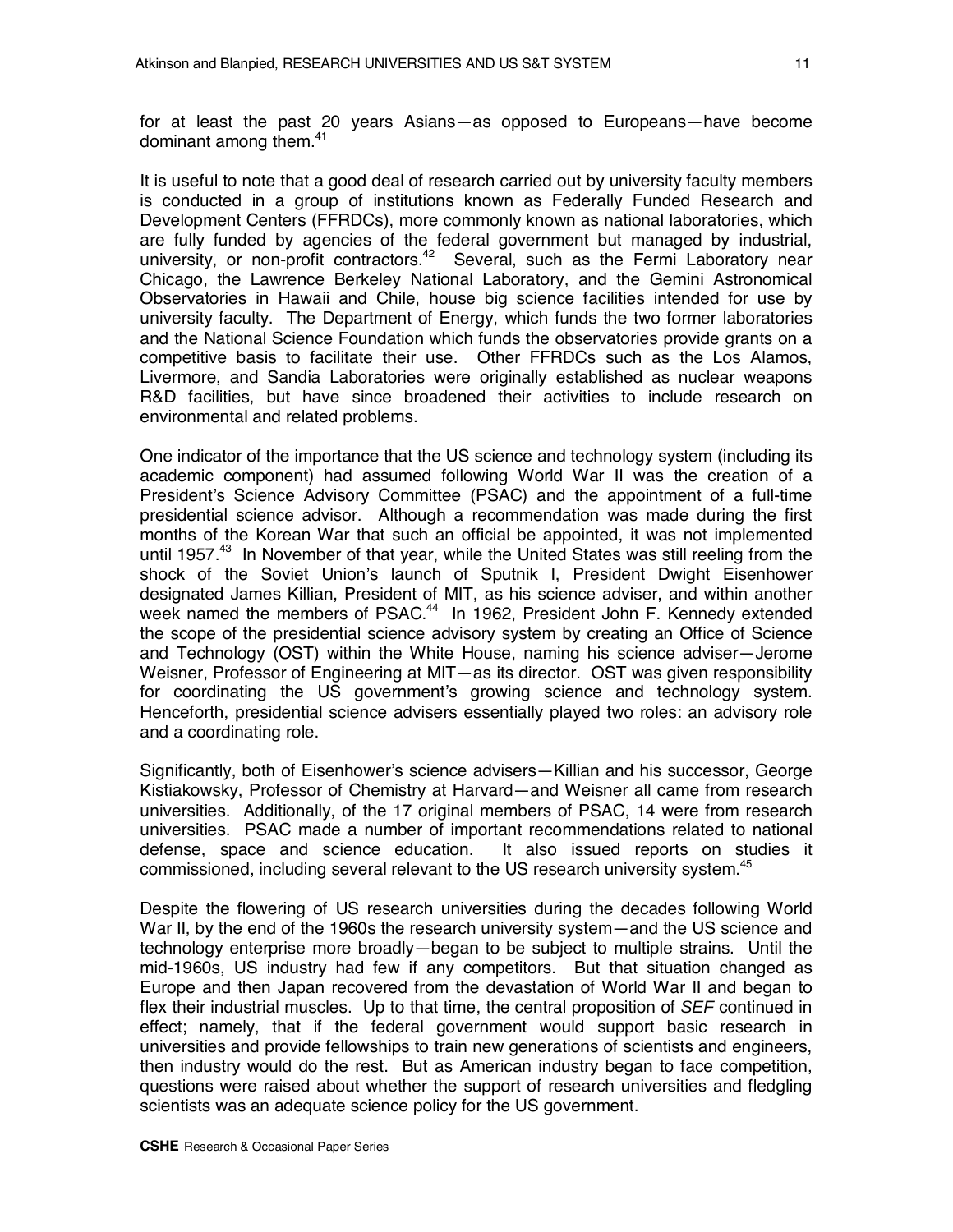for at least the past 20 years Asians—as opposed to Europeans—have become dominant among them.<sup>41</sup>

It is useful to note that a good deal of research carried out by university faculty members is conducted in a group of institutions known as Federally Funded Research and Development Centers (FFRDCs), more commonly known as national laboratories, which are fully funded by agencies of the federal government but managed by industrial, university, or non-profit contractors.<sup>42</sup> Several, such as the Fermi Laboratory near Chicago, the Lawrence Berkeley National Laboratory, and the Gemini Astronomical Observatories in Hawaii and Chile, house big science facilities intended for use by university faculty. The Department of Energy, which funds the two former laboratories and the National Science Foundation which funds the observatories provide grants on a competitive basis to facilitate their use. Other FFRDCs such as the Los Alamos, Livermore, and Sandia Laboratories were originally established as nuclear weapons R&D facilities, but have since broadened their activities to include research on environmental and related problems.

One indicator of the importance that the US science and technology system (including its academic component) had assumed following World War II was the creation of a President's Science Advisory Committee (PSAC) and the appointment of a full-time presidential science advisor. Although a recommendation was made during the first months of the Korean War that such an official be appointed, it was not implemented until 1957.<sup>43</sup> In November of that year, while the United States was still reeling from the shock of the Soviet Union's launch of Sputnik I, President Dwight Eisenhower designated James Killian, President of MIT, as his science adviser, and within another week named the members of PSAC.<sup>44</sup> In 1962, President John F. Kennedy extended the scope of the presidential science advisory system by creating an Office of Science and Technology (OST) within the White House, naming his science adviser—Jerome Weisner, Professor of Engineering at MIT—as its director. OST was given responsibility for coordinating the US government's growing science and technology system. Henceforth, presidential science advisers essentially played two roles: an advisory role and a coordinating role.

Significantly, both of Eisenhower's science advisers—Killian and his successor, George Kistiakowsky, Professor of Chemistry at Harvard—and Weisner all came from research universities. Additionally, of the 17 original members of PSAC, 14 were from research universities. PSAC made a number of important recommendations related to national defense, space and science education. It also issued reports on studies it commissioned, including several relevant to the US research university system.<sup>45</sup>

Despite the flowering of US research universities during the decades following World War II, by the end of the 1960s the research university system—and the US science and technology enterprise more broadly—began to be subject to multiple strains. Until the mid-1960s, US industry had few if any competitors. But that situation changed as Europe and then Japan recovered from the devastation of World War II and began to flex their industrial muscles. Up to that time, the central proposition of SEF continued in effect; namely, that if the federal government would support basic research in universities and provide fellowships to train new generations of scientists and engineers, then industry would do the rest. But as American industry began to face competition, questions were raised about whether the support of research universities and fledgling scientists was an adequate science policy for the US government.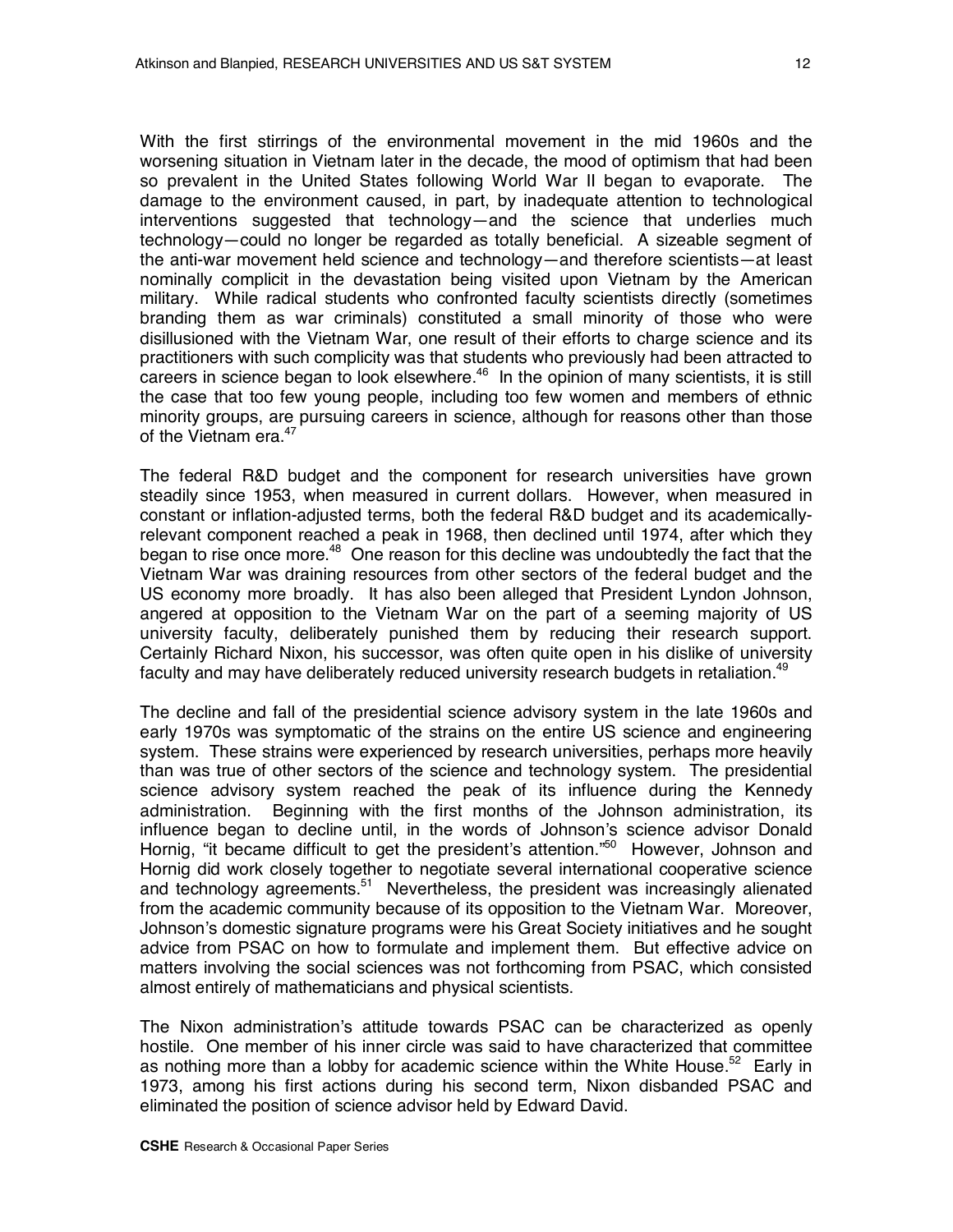With the first stirrings of the environmental movement in the mid 1960s and the worsening situation in Vietnam later in the decade, the mood of optimism that had been so prevalent in the United States following World War II began to evaporate. The damage to the environment caused, in part, by inadequate attention to technological interventions suggested that technology—and the science that underlies much technology—could no longer be regarded as totally beneficial. A sizeable segment of the anti-war movement held science and technology—and therefore scientists—at least nominally complicit in the devastation being visited upon Vietnam by the American military. While radical students who confronted faculty scientists directly (sometimes branding them as war criminals) constituted a small minority of those who were disillusioned with the Vietnam War, one result of their efforts to charge science and its practitioners with such complicity was that students who previously had been attracted to careers in science began to look elsewhere.<sup>46</sup> In the opinion of many scientists, it is still the case that too few young people, including too few women and members of ethnic minority groups, are pursuing careers in science, although for reasons other than those of the Vietnam era. 47

The federal R&D budget and the component for research universities have grown steadily since 1953, when measured in current dollars. However, when measured in constant or inflation-adjusted terms, both the federal R&D budget and its academicallyrelevant component reached a peak in 1968, then declined until 1974, after which they began to rise once more.<sup>48</sup> One reason for this decline was undoubtedly the fact that the Vietnam War was draining resources from other sectors of the federal budget and the US economy more broadly. It has also been alleged that President Lyndon Johnson, angered at opposition to the Vietnam War on the part of a seeming majority of US university faculty, deliberately punished them by reducing their research support. Certainly Richard Nixon, his successor, was often quite open in his dislike of university faculty and may have deliberately reduced university research budgets in retaliation.<sup>49</sup>

The decline and fall of the presidential science advisory system in the late 1960s and early 1970s was symptomatic of the strains on the entire US science and engineering system. These strains were experienced by research universities, perhaps more heavily than was true of other sectors of the science and technology system. The presidential science advisory system reached the peak of its influence during the Kennedy administration. Beginning with the first months of the Johnson administration, its influence began to decline until, in the words of Johnson's science advisor Donald Hornig, "it became difficult to get the president's attention."<sup>50</sup> However, Johnson and Hornig did work closely together to negotiate several international cooperative science and technology agreements.<sup>51</sup> Nevertheless, the president was increasingly alienated from the academic community because of its opposition to the Vietnam War. Moreover, Johnson's domestic signature programs were his Great Society initiatives and he sought advice from PSAC on how to formulate and implement them. But effective advice on matters involving the social sciences was not forthcoming from PSAC, which consisted almost entirely of mathematicians and physical scientists.

The Nixon administration's attitude towards PSAC can be characterized as openly hostile. One member of his inner circle was said to have characterized that committee as nothing more than a lobby for academic science within the White House.<sup>52</sup> Early in 1973, among his first actions during his second term, Nixon disbanded PSAC and eliminated the position of science advisor held by Edward David.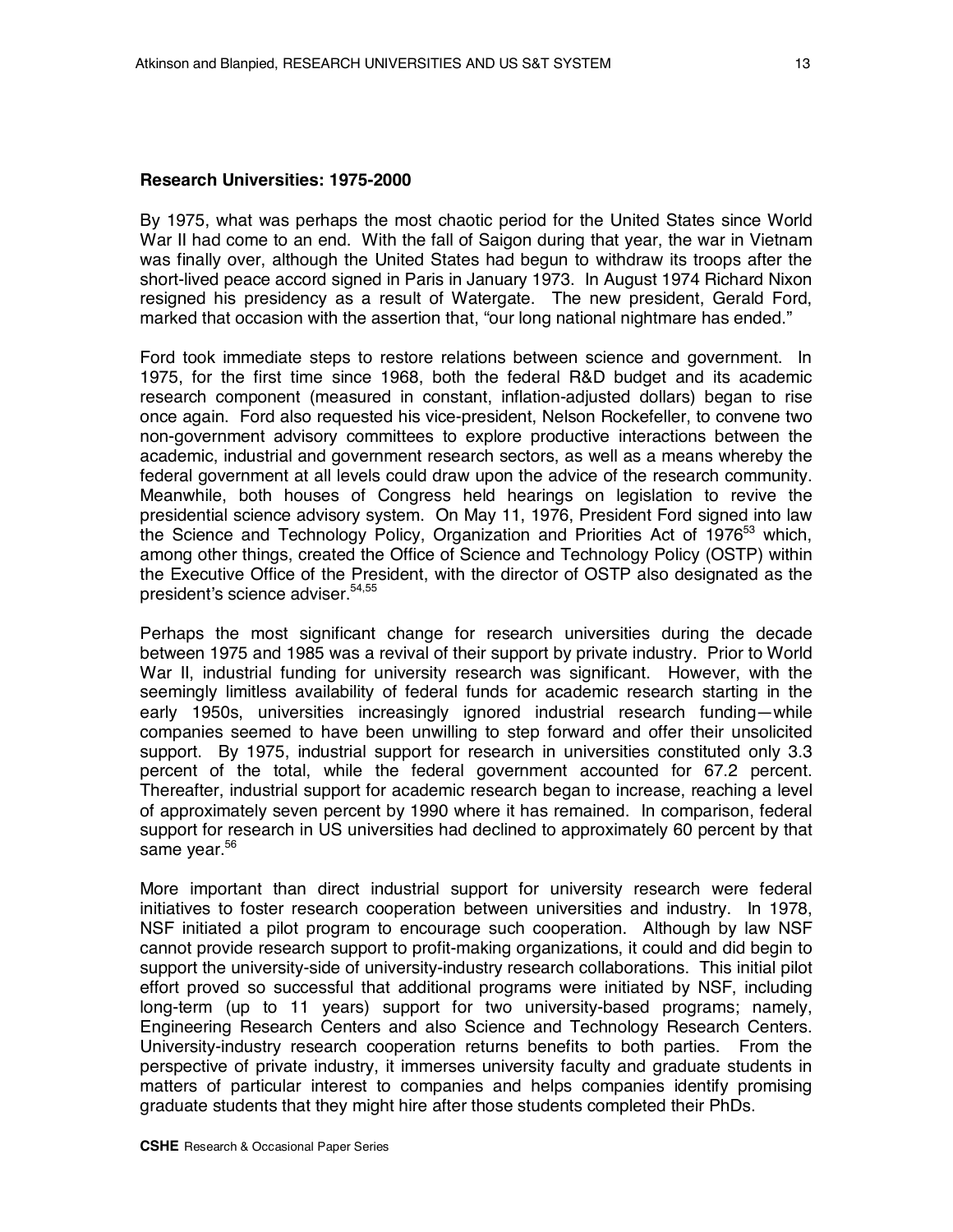#### **Research Universities: 1975-2000**

By 1975, what was perhaps the most chaotic period for the United States since World War II had come to an end. With the fall of Saigon during that year, the war in Vietnam was finally over, although the United States had begun to withdraw its troops after the short-lived peace accord signed in Paris in January 1973. In August 1974 Richard Nixon resigned his presidency as a result of Watergate. The new president, Gerald Ford, marked that occasion with the assertion that, "our long national nightmare has ended."

Ford took immediate steps to restore relations between science and government. In 1975, for the first time since 1968, both the federal R&D budget and its academic research component (measured in constant, inflation-adjusted dollars) began to rise once again. Ford also requested his vice-president, Nelson Rockefeller, to convene two non-government advisory committees to explore productive interactions between the academic, industrial and government research sectors, as well as a means whereby the federal government at all levels could draw upon the advice of the research community. Meanwhile, both houses of Congress held hearings on legislation to revive the presidential science advisory system. On May 11, 1976, President Ford signed into law the Science and Technology Policy, Organization and Priorities Act of 1976<sup>53</sup> which, among other things, created the Office of Science and Technology Policy (OSTP) within the Executive Office of the President, with the director of OSTP also designated as the president's science adviser. 54,55

Perhaps the most significant change for research universities during the decade between 1975 and 1985 was a revival of their support by private industry. Prior to World War II, industrial funding for university research was significant. However, with the seemingly limitless availability of federal funds for academic research starting in the early 1950s, universities increasingly ignored industrial research funding—while companies seemed to have been unwilling to step forward and offer their unsolicited support. By 1975, industrial support for research in universities constituted only 3.3 percent of the total, while the federal government accounted for 67.2 percent. Thereafter, industrial support for academic research began to increase, reaching a level of approximately seven percent by 1990 where it has remained. In comparison, federal support for research in US universities had declined to approximately 60 percent by that same year.<sup>56</sup>

More important than direct industrial support for university research were federal initiatives to foster research cooperation between universities and industry. In 1978, NSF initiated a pilot program to encourage such cooperation. Although by law NSF cannot provide research support to profit-making organizations, it could and did begin to support the university-side of university-industry research collaborations. This initial pilot effort proved so successful that additional programs were initiated by NSF, including long-term (up to 11 years) support for two university-based programs; namely, Engineering Research Centers and also Science and Technology Research Centers. University-industry research cooperation returns benefits to both parties. From the perspective of private industry, it immerses university faculty and graduate students in matters of particular interest to companies and helps companies identify promising graduate students that they might hire after those students completed their PhDs.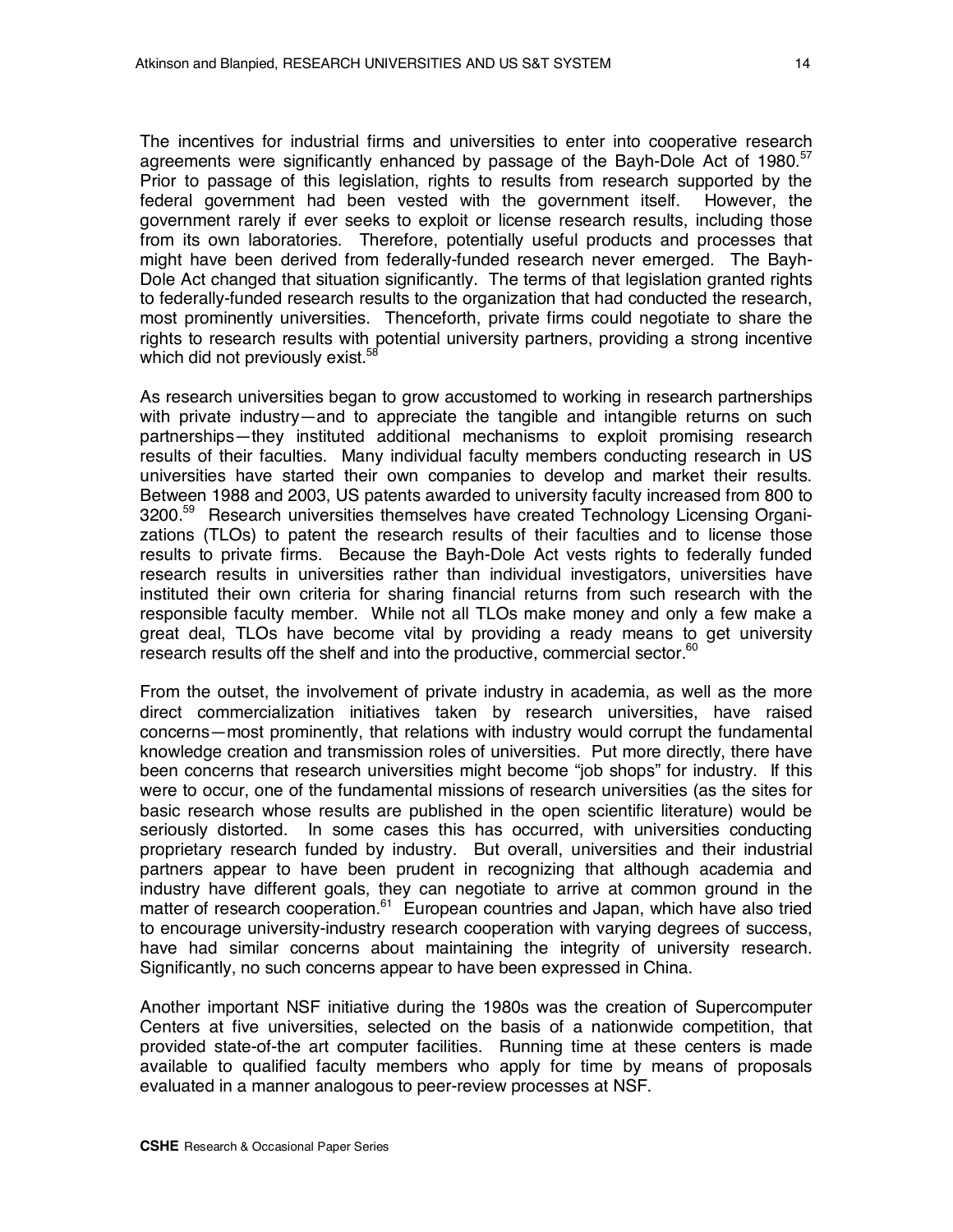The incentives for industrial firms and universities to enter into cooperative research agreements were significantly enhanced by passage of the Bayh-Dole Act of 1980.<sup>57</sup> Prior to passage of this legislation, rights to results from research supported by the federal government had been vested with the government itself. However, the government rarely if ever seeks to exploit or license research results, including those from its own laboratories. Therefore, potentially useful products and processes that might have been derived from federally-funded research never emerged. The Bayh-Dole Act changed that situation significantly. The terms of that legislation granted rights to federally-funded research results to the organization that had conducted the research, most prominently universities. Thenceforth, private firms could negotiate to share the rights to research results with potential university partners, providing a strong incentive which did not previously exist.<sup>58</sup>

As research universities began to grow accustomed to working in research partnerships with private industry—and to appreciate the tangible and intangible returns on such partnerships—they instituted additional mechanisms to exploit promising research results of their faculties. Many individual faculty members conducting research in US universities have started their own companies to develop and market their results. Between 1988 and 2003, US patents awarded to university faculty increased from 800 to 3200.<sup>59</sup> Research universities themselves have created Technology Licensing Organizations (TLOs) to patent the research results of their faculties and to license those results to private firms. Because the Bayh-Dole Act vests rights to federally funded research results in universities rather than individual investigators, universities have instituted their own criteria for sharing financial returns from such research with the responsible faculty member. While not all TLOs make money and only a few make a great deal, TLOs have become vital by providing a ready means to get university research results off the shelf and into the productive, commercial sector.<sup>60</sup>

From the outset, the involvement of private industry in academia, as well as the more direct commercialization initiatives taken by research universities, have raised concerns—most prominently, that relations with industry would corrupt the fundamental knowledge creation and transmission roles of universities. Put more directly, there have been concerns that research universities might become "job shops" for industry. If this were to occur, one of the fundamental missions of research universities (as the sites for basic research whose results are published in the open scientific literature) would be seriously distorted. In some cases this has occurred, with universities conducting proprietary research funded by industry. But overall, universities and their industrial partners appear to have been prudent in recognizing that although academia and industry have different goals, they can negotiate to arrive at common ground in the matter of research cooperation.<sup>61</sup> European countries and Japan, which have also tried to encourage university-industry research cooperation with varying degrees of success, have had similar concerns about maintaining the integrity of university research. Significantly, no such concerns appear to have been expressed in China.

Another important NSF initiative during the 1980s was the creation of Supercomputer Centers at five universities, selected on the basis of a nationwide competition, that provided state-of-the art computer facilities. Running time at these centers is made available to qualified faculty members who apply for time by means of proposals evaluated in a manner analogous to peer-review processes at NSF.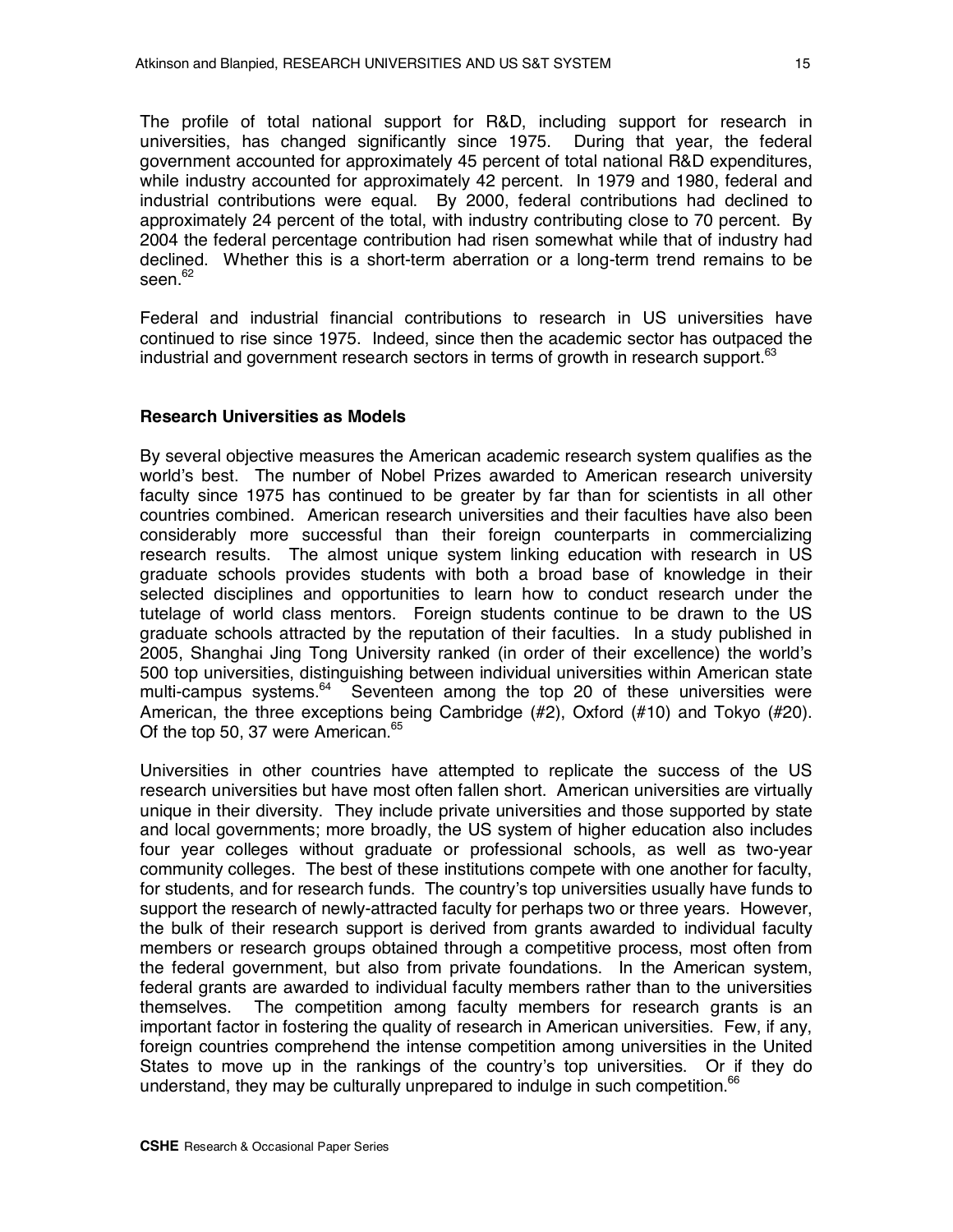The profile of total national support for R&D, including support for research in universities, has changed significantly since 1975. During that year, the federal government accounted for approximately 45 percent of total national R&D expenditures, while industry accounted for approximately 42 percent. In 1979 and 1980, federal and industrial contributions were equal. By 2000, federal contributions had declined to approximately 24 percent of the total, with industry contributing close to 70 percent. By 2004 the federal percentage contribution had risen somewhat while that of industry had declined. Whether this is a short-term aberration or a long-term trend remains to be seen. 62

Federal and industrial financial contributions to research in US universities have continued to rise since 1975. Indeed, since then the academic sector has outpaced the industrial and government research sectors in terms of growth in research support.<sup>63</sup>

### **Research Universities as Models**

By several objective measures the American academic research system qualifies as the world's best. The number of Nobel Prizes awarded to American research university faculty since 1975 has continued to be greater by far than for scientists in all other countries combined. American research universities and their faculties have also been considerably more successful than their foreign counterparts in commercializing research results. The almost unique system linking education with research in US graduate schools provides students with both a broad base of knowledge in their selected disciplines and opportunities to learn how to conduct research under the tutelage of world class mentors. Foreign students continue to be drawn to the US graduate schools attracted by the reputation of their faculties. In a study published in 2005, Shanghai Jing Tong University ranked (in order of their excellence) the world's 500 top universities, distinguishing between individual universities within American state multi-campus systems. $64$  Seventeen among the top 20 of these universities were American, the three exceptions being Cambridge (#2), Oxford (#10) and Tokyo (#20). Of the top 50, 37 were American.<sup>65</sup>

Universities in other countries have attempted to replicate the success of the US research universities but have most often fallen short. American universities are virtually unique in their diversity. They include private universities and those supported by state and local governments; more broadly, the US system of higher education also includes four year colleges without graduate or professional schools, as well as two-year community colleges. The best of these institutions compete with one another for faculty, for students, and for research funds. The country's top universities usually have funds to support the research of newly-attracted faculty for perhaps two or three years. However, the bulk of their research support is derived from grants awarded to individual faculty members or research groups obtained through a competitive process, most often from the federal government, but also from private foundations. In the American system, federal grants are awarded to individual faculty members rather than to the universities themselves. The competition among faculty members for research grants is an important factor in fostering the quality of research in American universities. Few, if any, foreign countries comprehend the intense competition among universities in the United States to move up in the rankings of the country's top universities. Or if they do understand, they may be culturally unprepared to indulge in such competition.<sup>66</sup>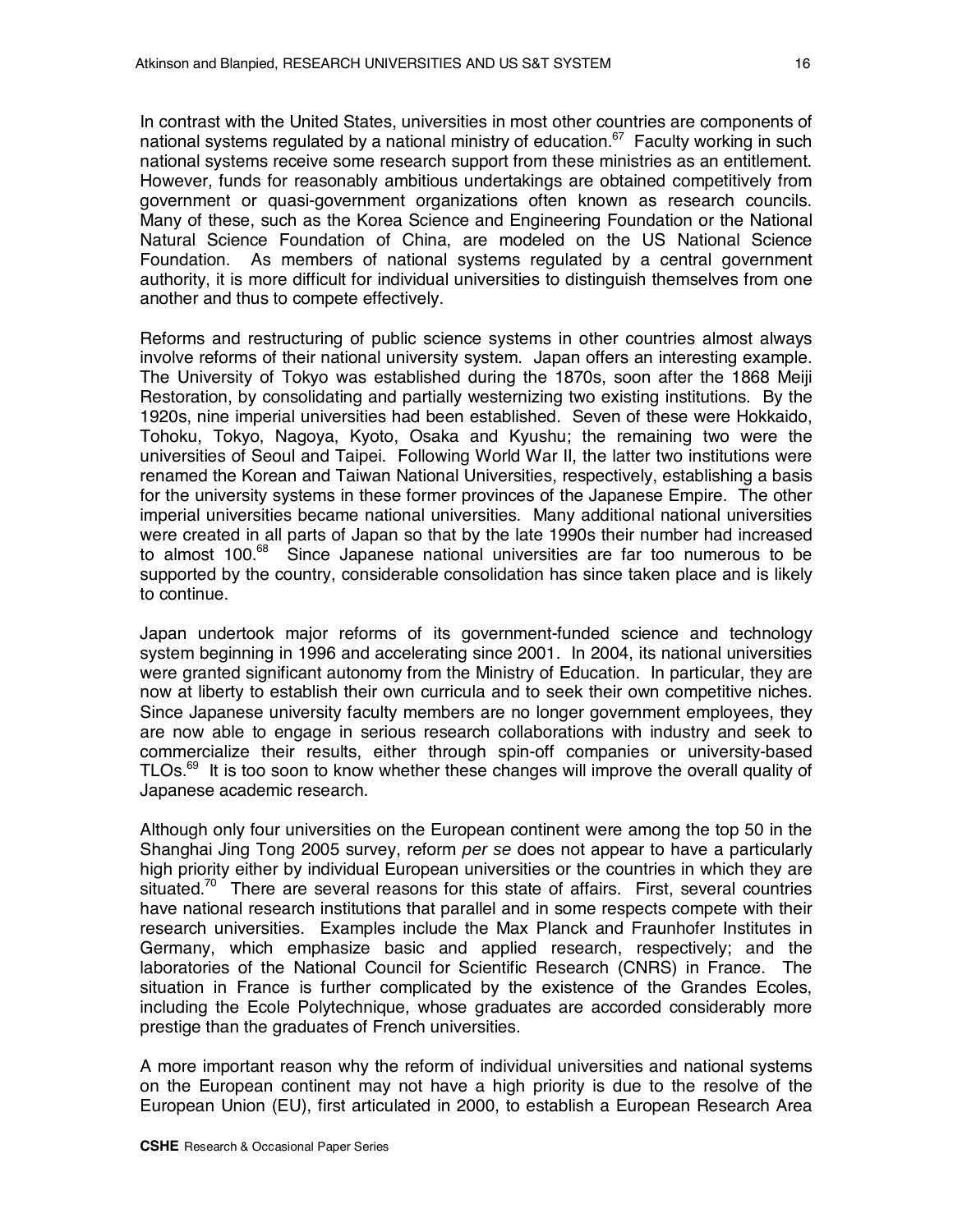In contrast with the United States, universities in most other countries are components of national systems regulated by a national ministry of education.<sup>67</sup> Faculty working in such national systems receive some research support from these ministries as an entitlement. However, funds for reasonably ambitious undertakings are obtained competitively from government or quasi-government organizations often known as research councils. Many of these, such as the Korea Science and Engineering Foundation or the National Natural Science Foundation of China, are modeled on the US National Science Foundation. As members of national systems regulated by a central government authority, it is more difficult for individual universities to distinguish themselves from one another and thus to compete effectively.

Reforms and restructuring of public science systems in other countries almost always involve reforms of their national university system. Japan offers an interesting example. The University of Tokyo was established during the 1870s, soon after the 1868 Meiji Restoration, by consolidating and partially westernizing two existing institutions. By the 1920s, nine imperial universities had been established. Seven of these were Hokkaido, Tohoku, Tokyo, Nagoya, Kyoto, Osaka and Kyushu; the remaining two were the universities of Seoul and Taipei. Following World War II, the latter two institutions were renamed the Korean and Taiwan National Universities, respectively, establishing a basis for the university systems in these former provinces of the Japanese Empire. The other imperial universities became national universities. Many additional national universities were created in all parts of Japan so that by the late 1990s their number had increased to almost 100.<sup>68</sup> Since Japanese national universities are far too numerous to be supported by the country, considerable consolidation has since taken place and is likely to continue.

Japan undertook major reforms of its government-funded science and technology system beginning in 1996 and accelerating since 2001. In 2004, its national universities were granted significant autonomy from the Ministry of Education. In particular, they are now at liberty to establish their own curricula and to seek their own competitive niches. Since Japanese university faculty members are no longer government employees, they are now able to engage in serious research collaborations with industry and seek to commercialize their results, either through spin-off companies or university-based TLOs.<sup>69</sup> It is too soon to know whether these changes will improve the overall quality of Japanese academic research.

Although only four universities on the European continent were among the top 50 in the Shanghai Jing Tong 2005 survey, reform per se does not appear to have a particularly high priority either by individual European universities or the countries in which they are situated.<sup>70</sup> There are several reasons for this state of affairs. First, several countries have national research institutions that parallel and in some respects compete with their research universities. Examples include the Max Planck and Fraunhofer Institutes in Germany, which emphasize basic and applied research, respectively; and the laboratories of the National Council for Scientific Research (CNRS) in France. The situation in France is further complicated by the existence of the Grandes Ecoles, including the Ecole Polytechnique, whose graduates are accorded considerably more prestige than the graduates of French universities.

A more important reason why the reform of individual universities and national systems on the European continent may not have a high priority is due to the resolve of the European Union (EU), first articulated in 2000, to establish a European Research Area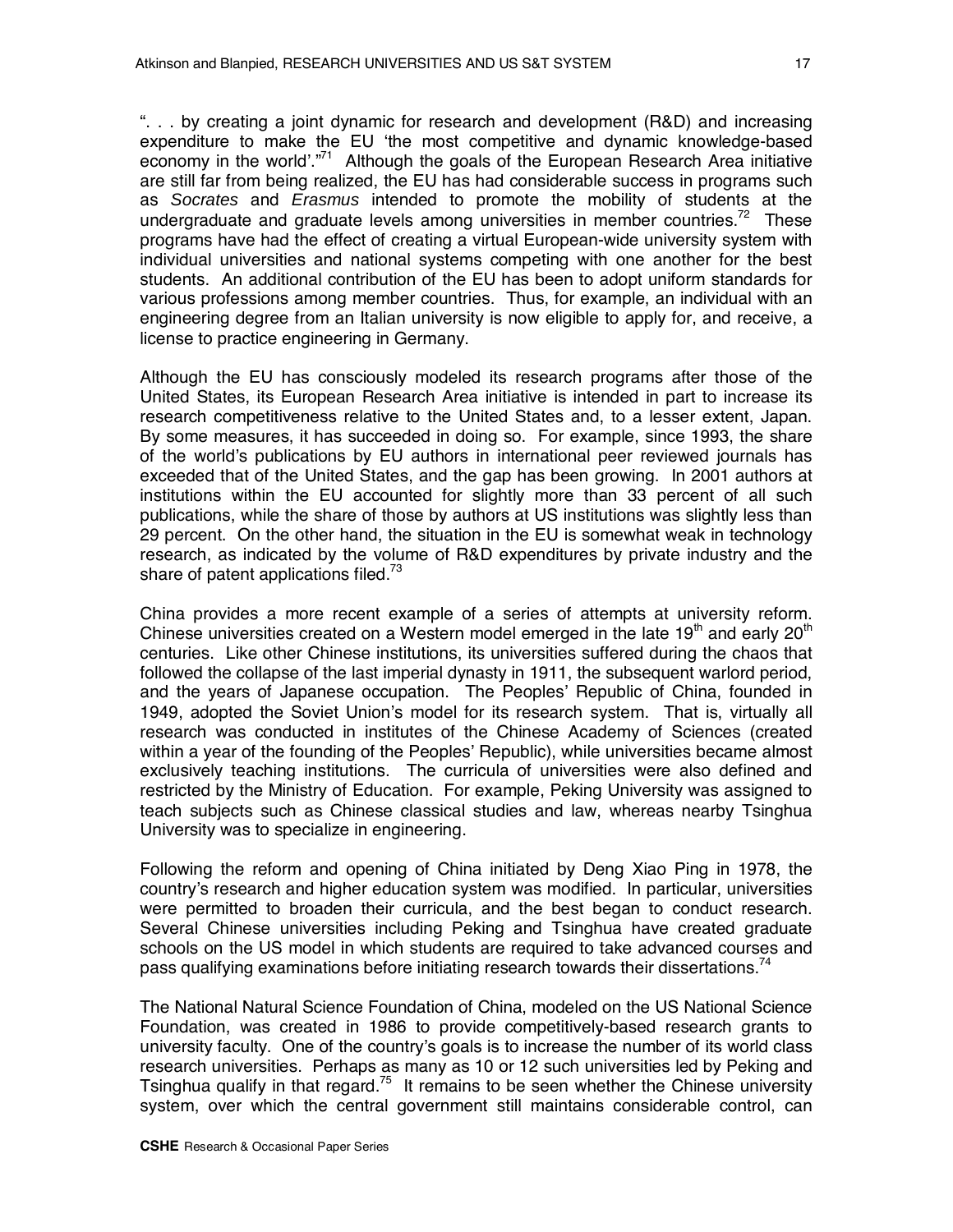". . . by creating a joint dynamic for research and development (R&D) and increasing expenditure to make the EU 'the most competitive and dynamic knowledge-based economy in the world'."<sup>71</sup> Although the goals of the European Research Area initiative are still far from being realized, the EU has had considerable success in programs such as Socrates and Erasmus intended to promote the mobility of students at the undergraduate and graduate levels among universities in member countries.<sup>72</sup> These programs have had the effect of creating a virtual European-wide university system with individual universities and national systems competing with one another for the best students. An additional contribution of the EU has been to adopt uniform standards for various professions among member countries. Thus, for example, an individual with an engineering degree from an Italian university is now eligible to apply for, and receive, a license to practice engineering in Germany.

Although the EU has consciously modeled its research programs after those of the United States, its European Research Area initiative is intended in part to increase its research competitiveness relative to the United States and, to a lesser extent, Japan. By some measures, it has succeeded in doing so. For example, since 1993, the share of the world's publications by EU authors in international peer reviewed journals has exceeded that of the United States, and the gap has been growing. In 2001 authors at institutions within the EU accounted for slightly more than 33 percent of all such publications, while the share of those by authors at US institutions was slightly less than 29 percent. On the other hand, the situation in the EU is somewhat weak in technology research, as indicated by the volume of R&D expenditures by private industry and the share of patent applications filed.<sup>73</sup>

China provides a more recent example of a series of attempts at university reform. Chinese universities created on a Western model emerged in the late 19<sup>th</sup> and early 20<sup>th</sup> centuries. Like other Chinese institutions, its universities suffered during the chaos that followed the collapse of the last imperial dynasty in 1911, the subsequent warlord period, and the years of Japanese occupation. The Peoples' Republic of China, founded in 1949, adopted the Soviet Union's model for its research system. That is, virtually all research was conducted in institutes of the Chinese Academy of Sciences (created within a year of the founding of the Peoples' Republic), while universities became almost exclusively teaching institutions. The curricula of universities were also defined and restricted by the Ministry of Education. For example, Peking University was assigned to teach subjects such as Chinese classical studies and law, whereas nearby Tsinghua University was to specialize in engineering.

Following the reform and opening of China initiated by Deng Xiao Ping in 1978, the country's research and higher education system was modified. In particular, universities were permitted to broaden their curricula, and the best began to conduct research. Several Chinese universities including Peking and Tsinghua have created graduate schools on the US model in which students are required to take advanced courses and pass qualifying examinations before initiating research towards their dissertations.<sup>74</sup>

The National Natural Science Foundation of China, modeled on the US National Science Foundation, was created in 1986 to provide competitively-based research grants to university faculty. One of the country's goals is to increase the number of its world class research universities. Perhaps as many as 10 or 12 such universities led by Peking and Tsinghua qualify in that regard.<sup>75</sup> It remains to be seen whether the Chinese university system, over which the central government still maintains considerable control, can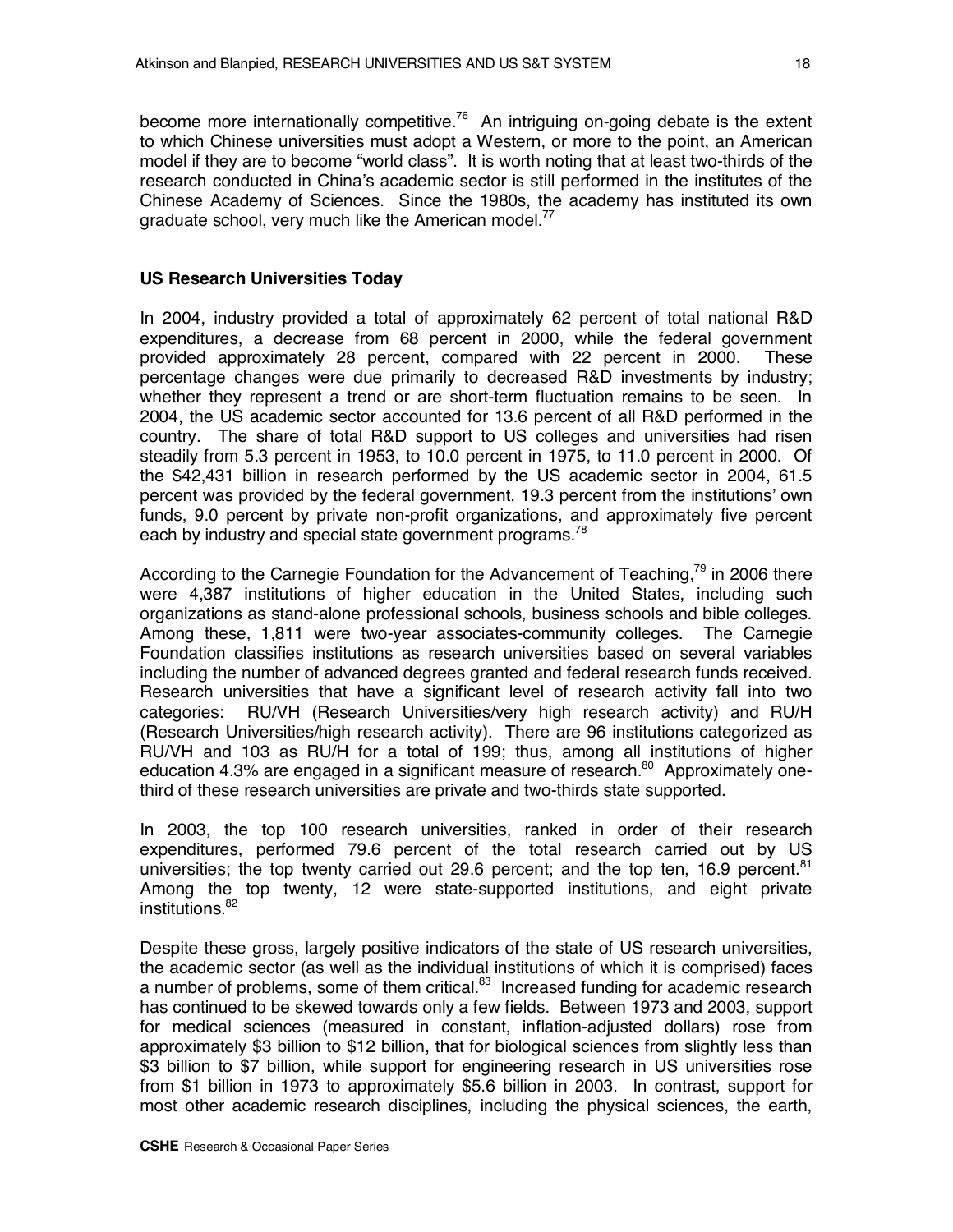become more internationally competitive.<sup>76</sup> An intriguing on-going debate is the extent to which Chinese universities must adopt a Western, or more to the point, an American model if they are to become "world class". It is worth noting that at least two-thirds of the research conducted in China's academic sector is still performed in the institutes of the Chinese Academy of Sciences. Since the 1980s, the academy has instituted its own graduate school, very much like the American model.<sup>77</sup>

### **US Research Universities Today**

In 2004, industry provided a total of approximately 62 percent of total national R&D expenditures, a decrease from 68 percent in 2000, while the federal government provided approximately 28 percent, compared with 22 percent in 2000. These percentage changes were due primarily to decreased R&D investments by industry; whether they represent a trend or are short-term fluctuation remains to be seen. In 2004, the US academic sector accounted for 13.6 percent of all R&D performed in the country. The share of total R&D support to US colleges and universities had risen steadily from 5.3 percent in 1953, to 10.0 percent in 1975, to 11.0 percent in 2000. Of the \$42,431 billion in research performed by the US academic sector in 2004, 61.5 percent was provided by the federal government, 19.3 percent from the institutions' own funds, 9.0 percent by private non-profit organizations, and approximately five percent each by industry and special state government programs.<sup>78</sup>

According to the Carnegie Foundation for the Advancement of Teaching, $^{79}$  in 2006 there were 4,387 institutions of higher education in the United States, including such organizations as stand-alone professional schools, business schools and bible colleges. Among these, 1,811 were two-year associates-community colleges. The Carnegie Foundation classifies institutions as research universities based on several variables including the number of advanced degrees granted and federal research funds received. Research universities that have a significant level of research activity fall into two categories: RU/VH (Research Universities/very high research activity) and RU/H (Research Universities/high research activity). There are 96 institutions categorized as RU/VH and 103 as RU/H for a total of 199; thus, among all institutions of higher education 4.3% are engaged in a significant measure of research.<sup>80</sup> Approximately onethird of these research universities are private and two-thirds state supported.

In 2003, the top 100 research universities, ranked in order of their research expenditures, performed 79.6 percent of the total research carried out by US universities; the top twenty carried out 29.6 percent; and the top ten, 16.9 percent.<sup>81</sup> Among the top twenty, 12 were state-supported institutions, and eight private institutions. 82

Despite these gross, largely positive indicators of the state of US research universities, the academic sector (as well as the individual institutions of which it is comprised) faces a number of problems, some of them critical.<sup>83</sup> Increased funding for academic research has continued to be skewed towards only a few fields. Between 1973 and 2003, support for medical sciences (measured in constant, inflation-adjusted dollars) rose from approximately \$3 billion to \$12 billion, that for biological sciences from slightly less than \$3 billion to \$7 billion, while support for engineering research in US universities rose from \$1 billion in 1973 to approximately \$5.6 billion in 2003. In contrast, support for most other academic research disciplines, including the physical sciences, the earth,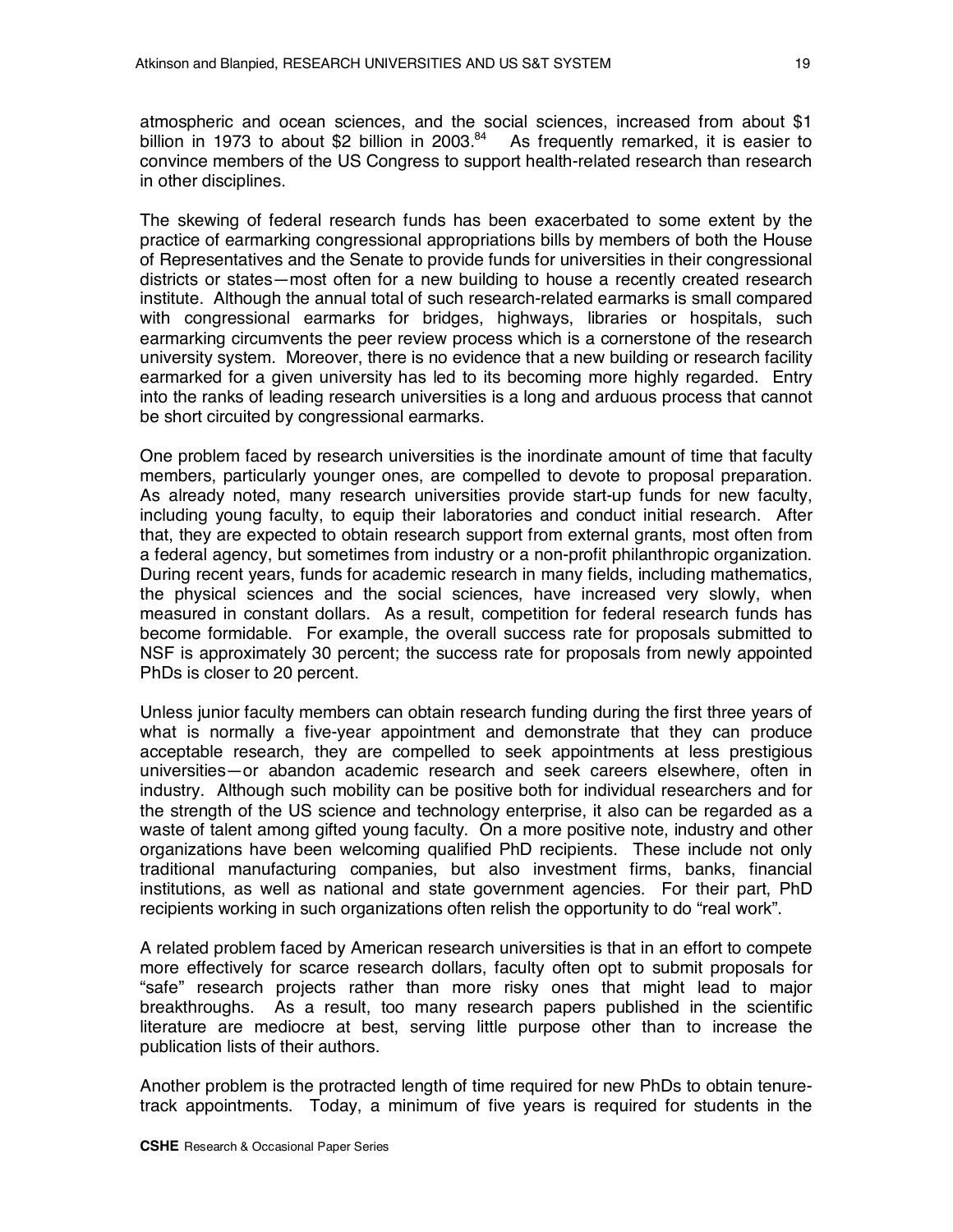atmospheric and ocean sciences, and the social sciences, increased from about \$1 billion in 1973 to about \$2 billion in 2003.<sup>84</sup> As frequently remarked, it is easier to convince members of the US Congress to support health-related research than research in other disciplines.

The skewing of federal research funds has been exacerbated to some extent by the practice of earmarking congressional appropriations bills by members of both the House of Representatives and the Senate to provide funds for universities in their congressional districts or states—most often for a new building to house a recently created research institute. Although the annual total of such research-related earmarks is small compared with congressional earmarks for bridges, highways, libraries or hospitals, such earmarking circumvents the peer review process which is a cornerstone of the research university system. Moreover, there is no evidence that a new building or research facility earmarked for a given university has led to its becoming more highly regarded. Entry into the ranks of leading research universities is a long and arduous process that cannot be short circuited by congressional earmarks.

One problem faced by research universities is the inordinate amount of time that faculty members, particularly younger ones, are compelled to devote to proposal preparation. As already noted, many research universities provide start-up funds for new faculty, including young faculty, to equip their laboratories and conduct initial research. After that, they are expected to obtain research support from external grants, most often from a federal agency, but sometimes from industry or a non-profit philanthropic organization. During recent years, funds for academic research in many fields, including mathematics, the physical sciences and the social sciences, have increased very slowly, when measured in constant dollars. As a result, competition for federal research funds has become formidable. For example, the overall success rate for proposals submitted to NSF is approximately 30 percent; the success rate for proposals from newly appointed PhDs is closer to 20 percent.

Unless junior faculty members can obtain research funding during the first three years of what is normally a five-year appointment and demonstrate that they can produce acceptable research, they are compelled to seek appointments at less prestigious universities—or abandon academic research and seek careers elsewhere, often in industry. Although such mobility can be positive both for individual researchers and for the strength of the US science and technology enterprise, it also can be regarded as a waste of talent among gifted young faculty. On a more positive note, industry and other organizations have been welcoming qualified PhD recipients. These include not only traditional manufacturing companies, but also investment firms, banks, financial institutions, as well as national and state government agencies. For their part, PhD recipients working in such organizations often relish the opportunity to do "real work".

A related problem faced by American research universities is that in an effort to compete more effectively for scarce research dollars, faculty often opt to submit proposals for "safe" research projects rather than more risky ones that might lead to major breakthroughs. As a result, too many research papers published in the scientific literature are mediocre at best, serving little purpose other than to increase the publication lists of their authors.

Another problem is the protracted length of time required for new PhDs to obtain tenuretrack appointments. Today, a minimum of five years is required for students in the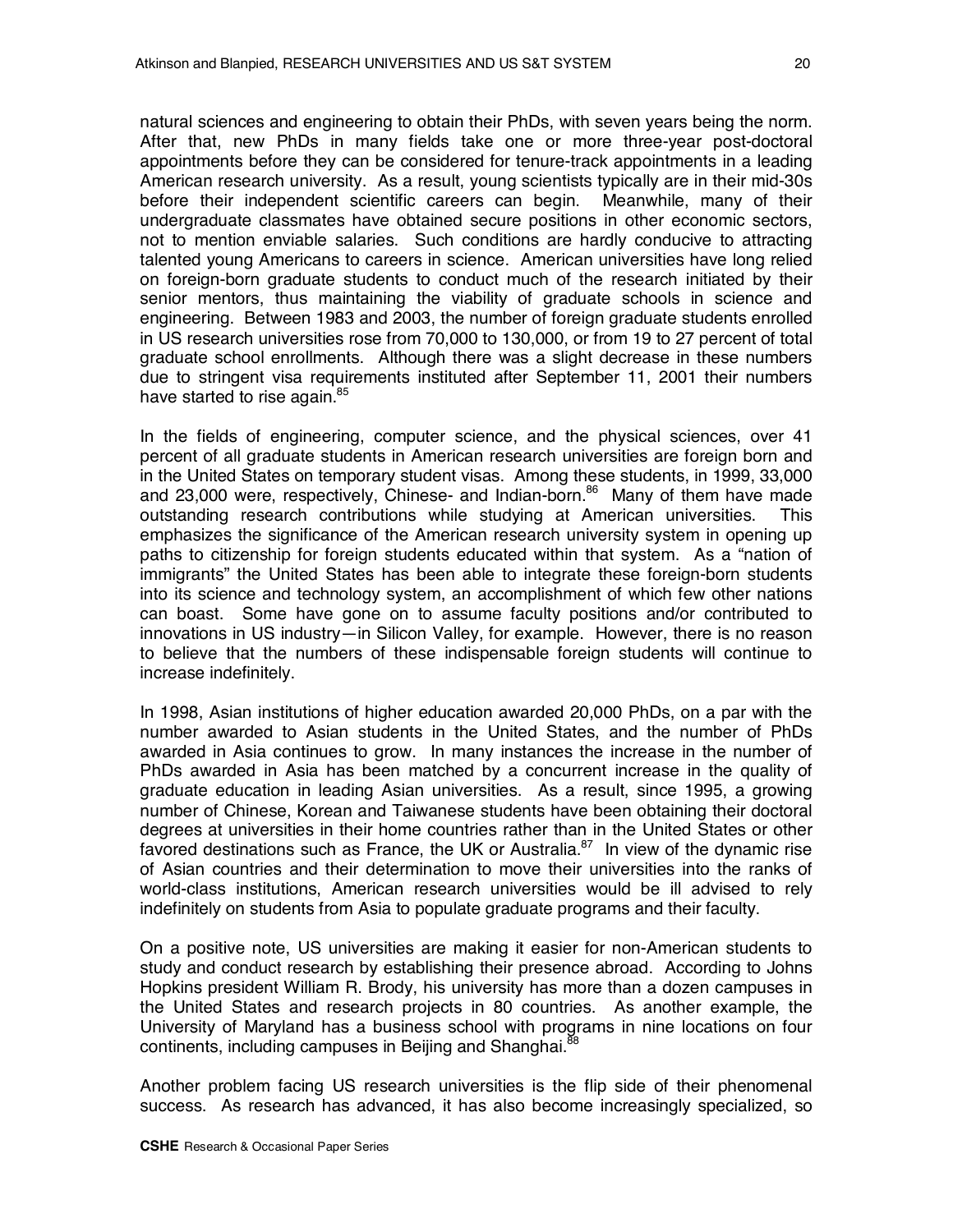natural sciences and engineering to obtain their PhDs, with seven years being the norm. After that, new PhDs in many fields take one or more three-year post-doctoral appointments before they can be considered for tenure-track appointments in a leading American research university. As a result, young scientists typically are in their mid-30s before their independent scientific careers can begin. Meanwhile, many of their undergraduate classmates have obtained secure positions in other economic sectors, not to mention enviable salaries. Such conditions are hardly conducive to attracting talented young Americans to careers in science. American universities have long relied on foreign-born graduate students to conduct much of the research initiated by their senior mentors, thus maintaining the viability of graduate schools in science and engineering. Between 1983 and 2003, the number of foreign graduate students enrolled in US research universities rose from 70,000 to 130,000, or from 19 to 27 percent of total graduate school enrollments. Although there was a slight decrease in these numbers due to stringent visa requirements instituted after September 11, 2001 their numbers have started to rise again.<sup>85</sup>

In the fields of engineering, computer science, and the physical sciences, over 41 percent of all graduate students in American research universities are foreign born and in the United States on temporary student visas. Among these students, in 1999, 33,000 and 23,000 were, respectively, Chinese- and Indian-born.<sup>86</sup> Many of them have made outstanding research contributions while studying at American universities. This emphasizes the significance of the American research university system in opening up paths to citizenship for foreign students educated within that system. As a "nation of immigrants" the United States has been able to integrate these foreign-born students into its science and technology system, an accomplishment of which few other nations can boast. Some have gone on to assume faculty positions and/or contributed to innovations in US industry—in Silicon Valley, for example. However, there is no reason to believe that the numbers of these indispensable foreign students will continue to increase indefinitely.

In 1998, Asian institutions of higher education awarded 20,000 PhDs, on a par with the number awarded to Asian students in the United States, and the number of PhDs awarded in Asia continues to grow. In many instances the increase in the number of PhDs awarded in Asia has been matched by a concurrent increase in the quality of graduate education in leading Asian universities. As a result, since 1995, a growing number of Chinese, Korean and Taiwanese students have been obtaining their doctoral degrees at universities in their home countries rather than in the United States or other favored destinations such as France, the UK or Australia.<sup>87</sup> In view of the dynamic rise of Asian countries and their determination to move their universities into the ranks of world-class institutions, American research universities would be ill advised to rely indefinitely on students from Asia to populate graduate programs and their faculty.

On a positive note, US universities are making it easier for non-American students to study and conduct research by establishing their presence abroad. According to Johns Hopkins president William R. Brody, his university has more than a dozen campuses in the United States and research projects in 80 countries. As another example, the University of Maryland has a business school with programs in nine locations on four continents, including campuses in Beijing and Shanghai.<sup>88</sup>

Another problem facing US research universities is the flip side of their phenomenal success. As research has advanced, it has also become increasingly specialized, so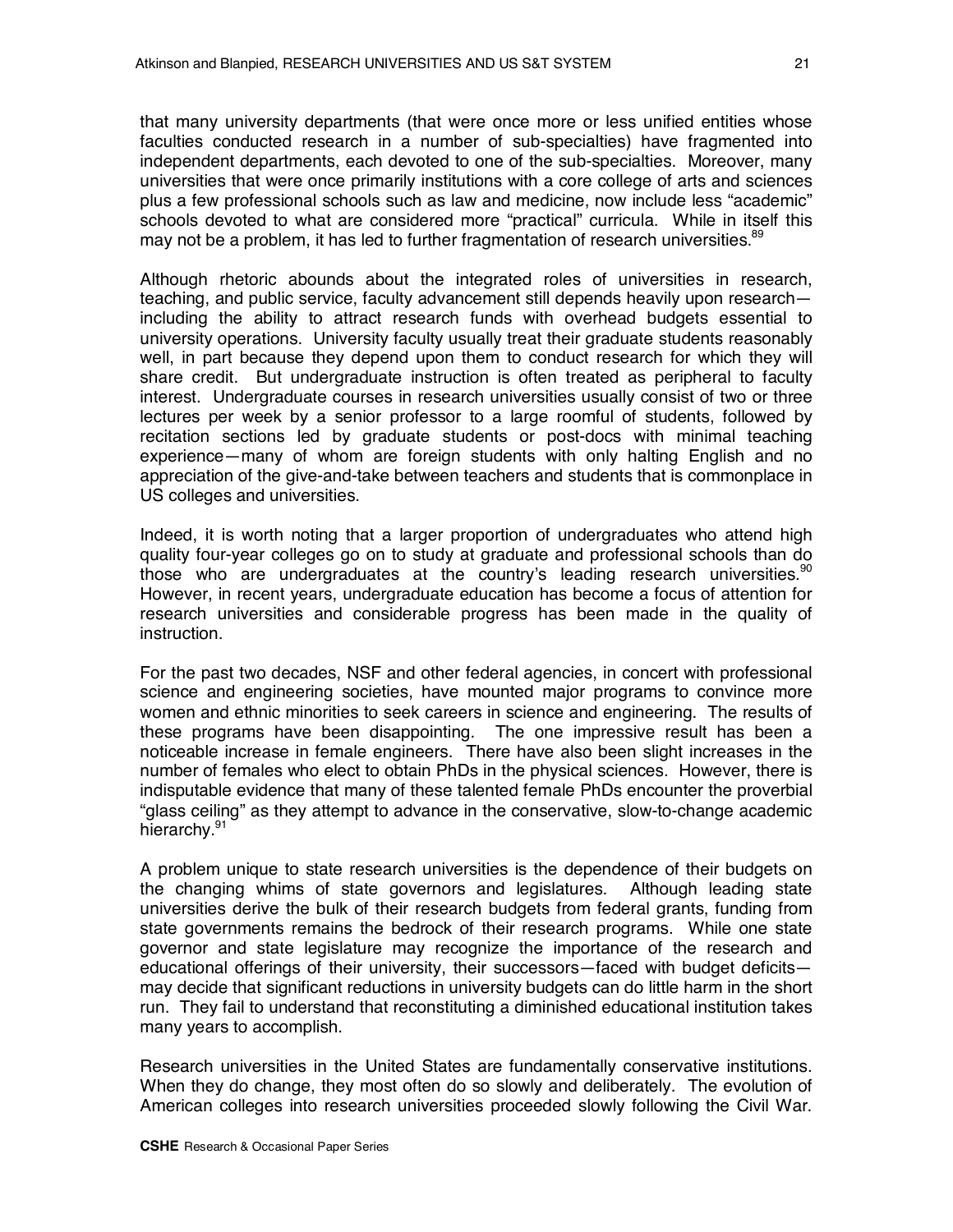that many university departments (that were once more or less unified entities whose faculties conducted research in a number of sub-specialties) have fragmented into independent departments, each devoted to one of the sub-specialties. Moreover, many universities that were once primarily institutions with a core college of arts and sciences plus a few professional schools such as law and medicine, now include less "academic" schools devoted to what are considered more "practical" curricula. While in itself this may not be a problem, it has led to further fragmentation of research universities.<sup>89</sup>

Although rhetoric abounds about the integrated roles of universities in research, teaching, and public service, faculty advancement still depends heavily upon research including the ability to attract research funds with overhead budgets essential to university operations. University faculty usually treat their graduate students reasonably well, in part because they depend upon them to conduct research for which they will share credit. But undergraduate instruction is often treated as peripheral to faculty interest. Undergraduate courses in research universities usually consist of two or three lectures per week by a senior professor to a large roomful of students, followed by recitation sections led by graduate students or post-docs with minimal teaching experience—many of whom are foreign students with only halting English and no appreciation of the give-and-take between teachers and students that is commonplace in US colleges and universities.

Indeed, it is worth noting that a larger proportion of undergraduates who attend high quality four-year colleges go on to study at graduate and professional schools than do those who are undergraduates at the country's leading research universities.<sup>90</sup> However, in recent years, undergraduate education has become a focus of attention for research universities and considerable progress has been made in the quality of instruction.

For the past two decades, NSF and other federal agencies, in concert with professional science and engineering societies, have mounted major programs to convince more women and ethnic minorities to seek careers in science and engineering. The results of these programs have been disappointing. The one impressive result has been a noticeable increase in female engineers. There have also been slight increases in the number of females who elect to obtain PhDs in the physical sciences. However, there is indisputable evidence that many of these talented female PhDs encounter the proverbial "glass ceiling" as they attempt to advance in the conservative, slow-to-change academic hierarchy.<sup>91</sup>

A problem unique to state research universities is the dependence of their budgets on the changing whims of state governors and legislatures. Although leading state universities derive the bulk of their research budgets from federal grants, funding from state governments remains the bedrock of their research programs. While one state governor and state legislature may recognize the importance of the research and educational offerings of their university, their successors—faced with budget deficits may decide that significant reductions in university budgets can do little harm in the short run. They fail to understand that reconstituting a diminished educational institution takes many years to accomplish.

Research universities in the United States are fundamentally conservative institutions. When they do change, they most often do so slowly and deliberately. The evolution of American colleges into research universities proceeded slowly following the Civil War.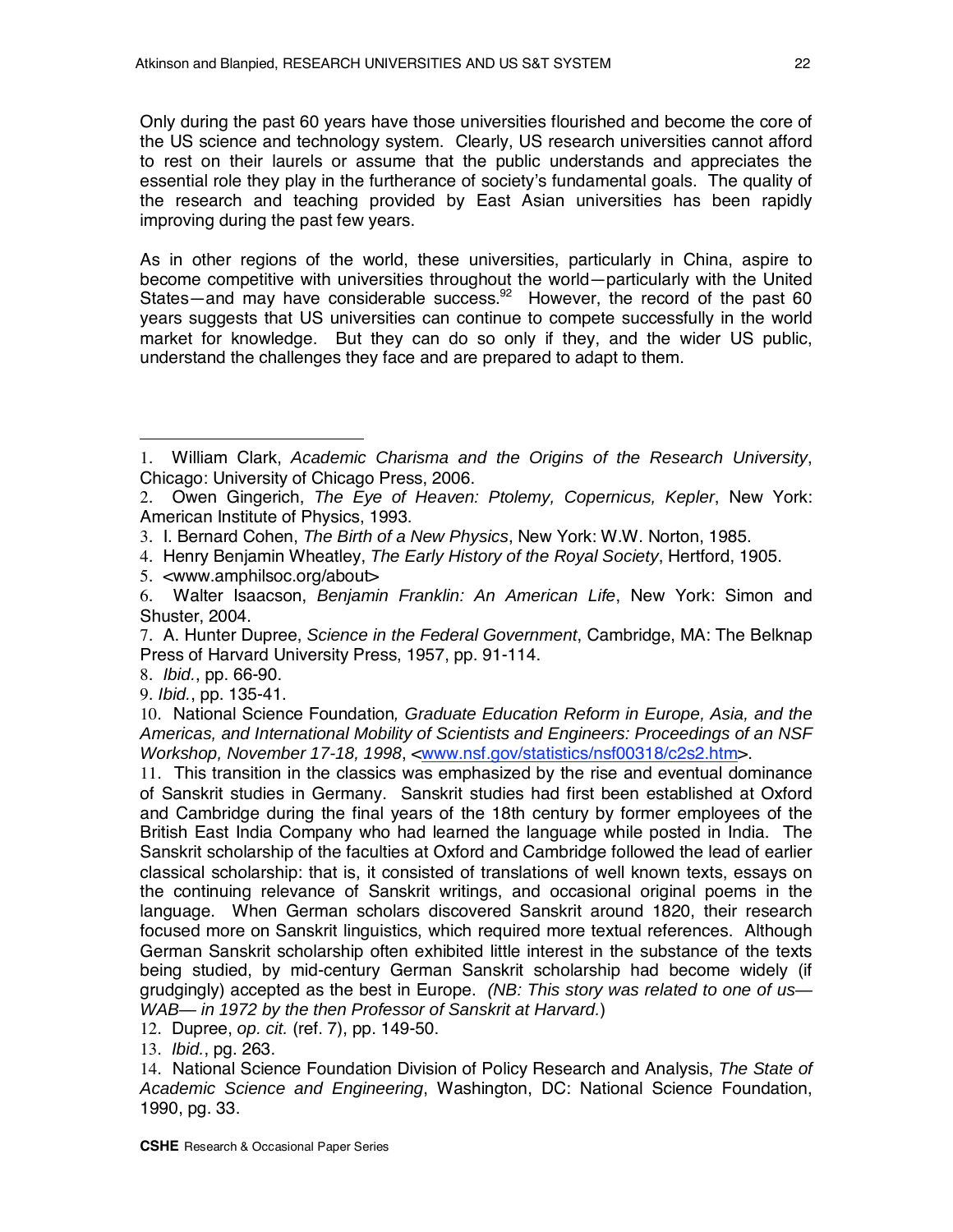Only during the past 60 years have those universities flourished and become the core of the US science and technology system. Clearly, US research universities cannot afford to rest on their laurels or assume that the public understands and appreciates the essential role they play in the furtherance of society's fundamental goals. The quality of the research and teaching provided by East Asian universities has been rapidly improving during the past few years.

As in other regions of the world, these universities, particularly in China, aspire to become competitive with universities throughout the world—particularly with the United States—and may have considerable success.<sup>92</sup> However, the record of the past 60 years suggests that US universities can continue to compete successfully in the world market for knowledge. But they can do so only if they, and the wider US public, understand the challenges they face and are prepared to adapt to them.

- 4. Henry Benjamin Wheatley, The Early History of the Royal Society, Hertford, 1905.
- 5. <www.amphilsoc.org/about>

7. A. Hunter Dupree, Science in the Federal Government, Cambridge, MA: The Belknap Press of Harvard University Press, 1957, pp. 91-114.

8. Ibid., pp. 66-90.

9. Ibid., pp. 135-41.

10. National Science Foundation, Graduate Education Reform in Europe, Asia, and the Americas, and International Mobility of Scientists and Engineers: Proceedings of an NSF Workshop, November 17-18, 1998, <www.nsf.gov/statistics/nsf00318/c2s2.htm>.

11. This transition in the classics was emphasized by the rise and eventual dominance of Sanskrit studies in Germany. Sanskrit studies had first been established at Oxford and Cambridge during the final years of the 18th century by former employees of the British East India Company who had learned the language while posted in India. The Sanskrit scholarship of the faculties at Oxford and Cambridge followed the lead of earlier classical scholarship: that is, it consisted of translations of well known texts, essays on the continuing relevance of Sanskrit writings, and occasional original poems in the language. When German scholars discovered Sanskrit around 1820, their research focused more on Sanskrit linguistics, which required more textual references. Although German Sanskrit scholarship often exhibited little interest in the substance of the texts being studied, by mid-century German Sanskrit scholarship had become widely (if grudgingly) accepted as the best in Europe. (NB: This story was related to one of us-WAB— in 1972 by the then Professor of Sanskrit at Harvard.)

12. Dupree, op. cit. (ref. 7), pp. 149-50.

13. Ibid., pg. 263.

14. National Science Foundation Division of Policy Research and Analysis, The State of Academic Science and Engineering, Washington, DC: National Science Foundation, 1990, pg. 33.

<sup>1</sup>. William Clark, Academic Charisma and the Origins of the Research University, Chicago: University of Chicago Press, 2006.

<sup>2.</sup> Owen Gingerich, The Eye of Heaven: Ptolemy, Copernicus, Kepler, New York: American Institute of Physics, 1993.

<sup>3</sup>. I. Bernard Cohen, The Birth of a New Physics, New York: W.W. Norton, 1985.

<sup>6</sup>. Walter Isaacson, Benjamin Franklin: An American Life, New York: Simon and Shuster, 2004.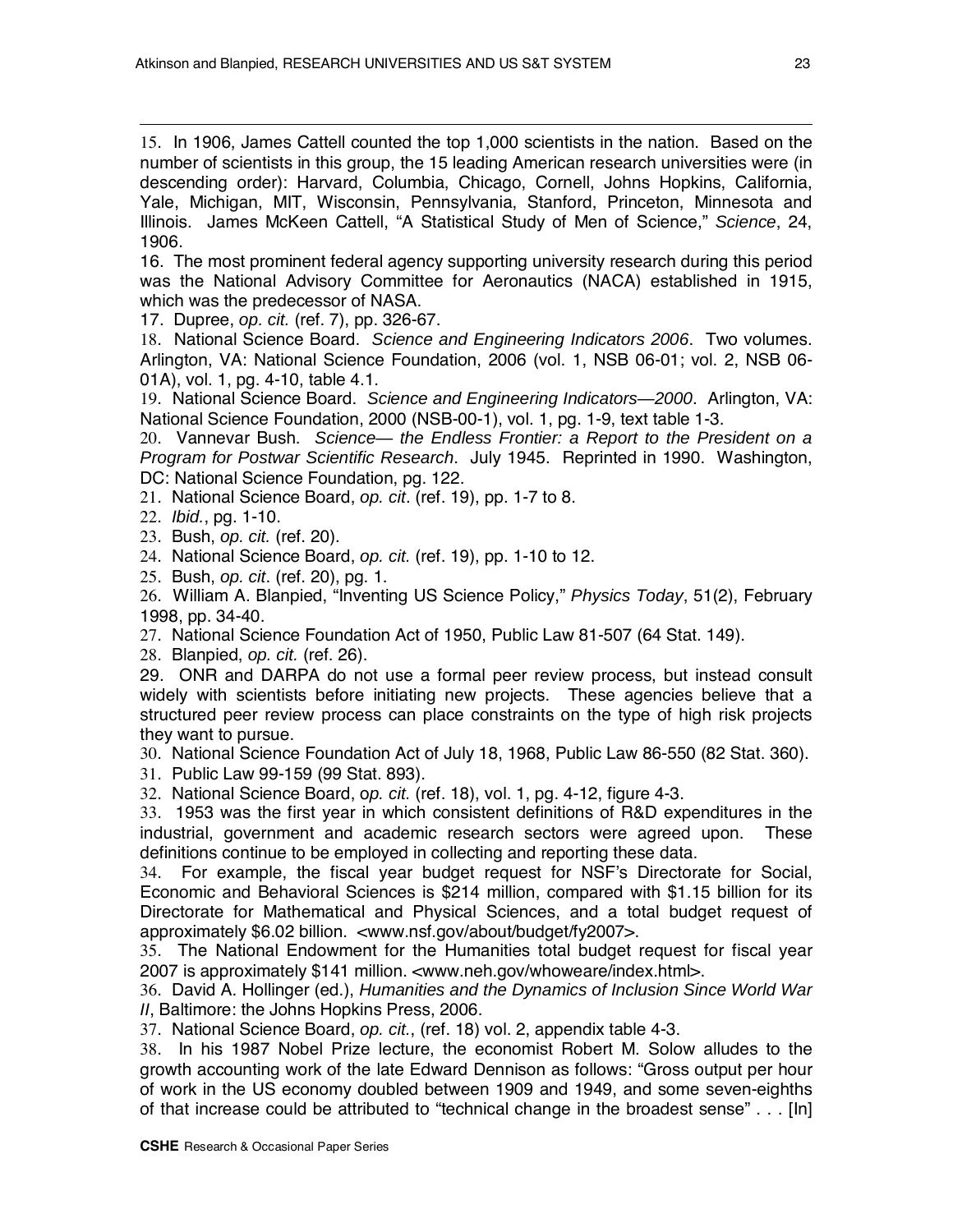15. In 1906, James Cattell counted the top 1,000 scientists in the nation. Based on the number of scientists in this group, the 15 leading American research universities were (in descending order): Harvard, Columbia, Chicago, Cornell, Johns Hopkins, California, Yale, Michigan, MIT, Wisconsin, Pennsylvania, Stanford, Princeton, Minnesota and Illinois. James McKeen Cattell, "A Statistical Study of Men of Science," Science, 24, 1906.

16. The most prominent federal agency supporting university research during this period was the National Advisory Committee for Aeronautics (NACA) established in 1915, which was the predecessor of NASA.

17. Dupree, op. cit. (ref. 7), pp. 326-67.

18. National Science Board. Science and Engineering Indicators 2006. Two volumes. Arlington, VA: National Science Foundation, 2006 (vol. 1, NSB 06-01; vol. 2, NSB 06- 01A), vol. 1, pg. 4-10, table 4.1.

19. National Science Board. Science and Engineering Indicators—2000. Arlington, VA: National Science Foundation, 2000 (NSB-00-1), vol. 1, pg. 1-9, text table 1-3.

20. Vannevar Bush. Science— the Endless Frontier: a Report to the President on a Program for Postwar Scientific Research. July 1945. Reprinted in 1990. Washington, DC: National Science Foundation, pg. 122.

21. National Science Board, op. cit. (ref. 19), pp. 1-7 to 8.

- 22. Ibid., pg. 1-10.
- 23. Bush, op. cit. (ref. 20).

24. National Science Board, op. cit. (ref. 19), pp. 1-10 to 12.

25. Bush, op. cit. (ref. 20), pg. 1.

26. William A. Blanpied, "Inventing US Science Policy," Physics Today, 51(2), February 1998, pp. 34-40.

27. National Science Foundation Act of 1950, Public Law 81-507 (64 Stat. 149).

28. Blanpied, op. cit. (ref. 26).

29. ONR and DARPA do not use a formal peer review process, but instead consult widely with scientists before initiating new projects. These agencies believe that a structured peer review process can place constraints on the type of high risk projects they want to pursue.

30. National Science Foundation Act of July 18, 1968, Public Law 86-550 (82 Stat. 360).

31. Public Law 99-159 (99 Stat. 893).

32. National Science Board, op. cit. (ref. 18), vol. 1, pg. 4-12, figure 4-3.

33. 1953 was the first year in which consistent definitions of R&D expenditures in the industrial, government and academic research sectors were agreed upon. These definitions continue to be employed in collecting and reporting these data.

34. For example, the fiscal year budget request for NSF's Directorate for Social, Economic and Behavioral Sciences is \$214 million, compared with \$1.15 billion for its Directorate for Mathematical and Physical Sciences, and a total budget request of approximately \$6.02 billion. <www.nsf.gov/about/budget/fy2007>.

35. The National Endowment for the Humanities total budget request for fiscal year 2007 is approximately \$141 million. <www.neh.gov/whoweare/index.html>.

36. David A. Hollinger (ed.), Humanities and the Dynamics of Inclusion Since World War II, Baltimore: the Johns Hopkins Press, 2006.

37. National Science Board, op. cit., (ref. 18) vol. 2, appendix table 4-3.

38. In his 1987 Nobel Prize lecture, the economist Robert M. Solow alludes to the growth accounting work of the late Edward Dennison as follows: "Gross output per hour of work in the US economy doubled between 1909 and 1949, and some seven-eighths of that increase could be attributed to "technical change in the broadest sense" . . . [In]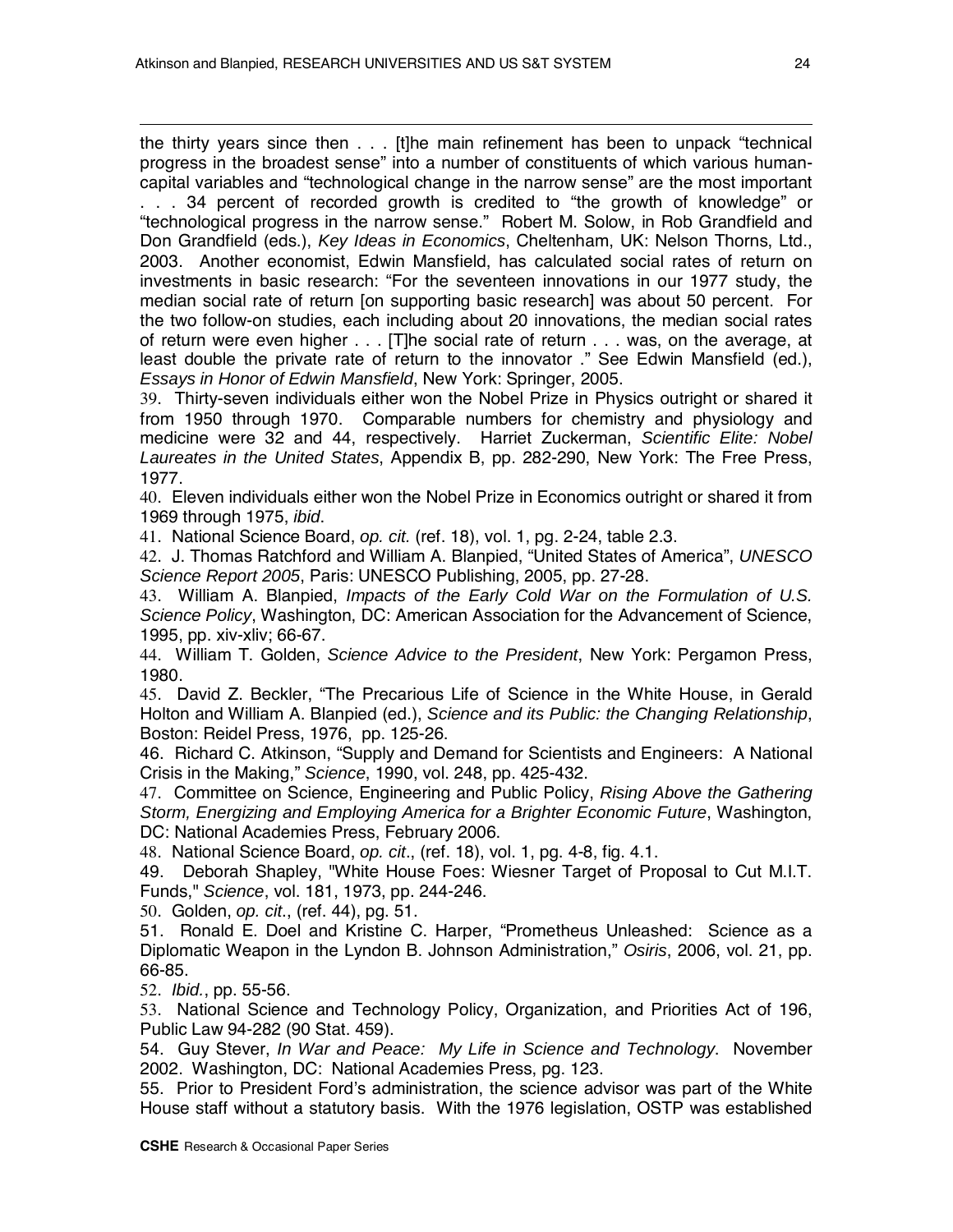the thirty years since then . . . [t]he main refinement has been to unpack "technical progress in the broadest sense" into a number of constituents of which various humancapital variables and "technological change in the narrow sense" are the most important

. . . 34 percent of recorded growth is credited to "the growth of knowledge" or "technological progress in the narrow sense." Robert M. Solow, in Rob Grandfield and Don Grandfield (eds.), Key Ideas in Economics, Cheltenham, UK: Nelson Thorns, Ltd., 2003. Another economist, Edwin Mansfield, has calculated social rates of return on investments in basic research: "For the seventeen innovations in our 1977 study, the median social rate of return [on supporting basic research] was about 50 percent. For the two follow-on studies, each including about 20 innovations, the median social rates of return were even higher . . . [T]he social rate of return . . . was, on the average, at least double the private rate of return to the innovator ." See Edwin Mansfield (ed.), Essays in Honor of Edwin Mansfield, New York: Springer, 2005.

39. Thirty-seven individuals either won the Nobel Prize in Physics outright or shared it from 1950 through 1970. Comparable numbers for chemistry and physiology and medicine were 32 and 44, respectively. Harriet Zuckerman, Scientific Elite: Nobel Laureates in the United States, Appendix B, pp. 282-290, New York: The Free Press, 1977.

40. Eleven individuals either won the Nobel Prize in Economics outright or shared it from 1969 through 1975, ibid.

41. National Science Board, op. cit. (ref. 18), vol. 1, pg. 2-24, table 2.3.

42. J. Thomas Ratchford and William A. Blanpied, "United States of America", UNESCO Science Report 2005, Paris: UNESCO Publishing, 2005, pp. 27-28.

43. William A. Blanpied, Impacts of the Early Cold War on the Formulation of U.S. Science Policy, Washington, DC: American Association for the Advancement of Science, 1995, pp. xiv-xliv; 66-67.

44. William T. Golden, Science Advice to the President, New York: Pergamon Press, 1980.

45. David Z. Beckler, "The Precarious Life of Science in the White House, in Gerald Holton and William A. Blanpied (ed.), Science and its Public: the Changing Relationship, Boston: Reidel Press, 1976, pp. 125-26.

46. Richard C. Atkinson, "Supply and Demand for Scientists and Engineers: A National Crisis in the Making," Science, 1990, vol. 248, pp. 425-432.

47. Committee on Science, Engineering and Public Policy, Rising Above the Gathering Storm, Energizing and Employing America for a Brighter Economic Future, Washington, DC: National Academies Press, February 2006.

48. National Science Board, op. cit., (ref. 18), vol. 1, pg. 4-8, fig. 4.1.

49. Deborah Shapley, "White House Foes: Wiesner Target of Proposal to Cut M.I.T. Funds," Science, vol. 181, 1973, pp. 244-246.

50. Golden, op. cit., (ref. 44), pg. 51.

51. Ronald E. Doel and Kristine C. Harper, "Prometheus Unleashed: Science as a Diplomatic Weapon in the Lyndon B. Johnson Administration," Osiris, 2006, vol. 21, pp. 66-85.

52. Ibid., pp. 55-56.

53. National Science and Technology Policy, Organization, and Priorities Act of 196, Public Law 94-282 (90 Stat. 459).

54. Guy Stever, In War and Peace: My Life in Science and Technology. November 2002. Washington, DC: National Academies Press, pg. 123.

55. Prior to President Ford's administration, the science advisor was part of the White House staff without a statutory basis. With the 1976 legislation, OSTP was established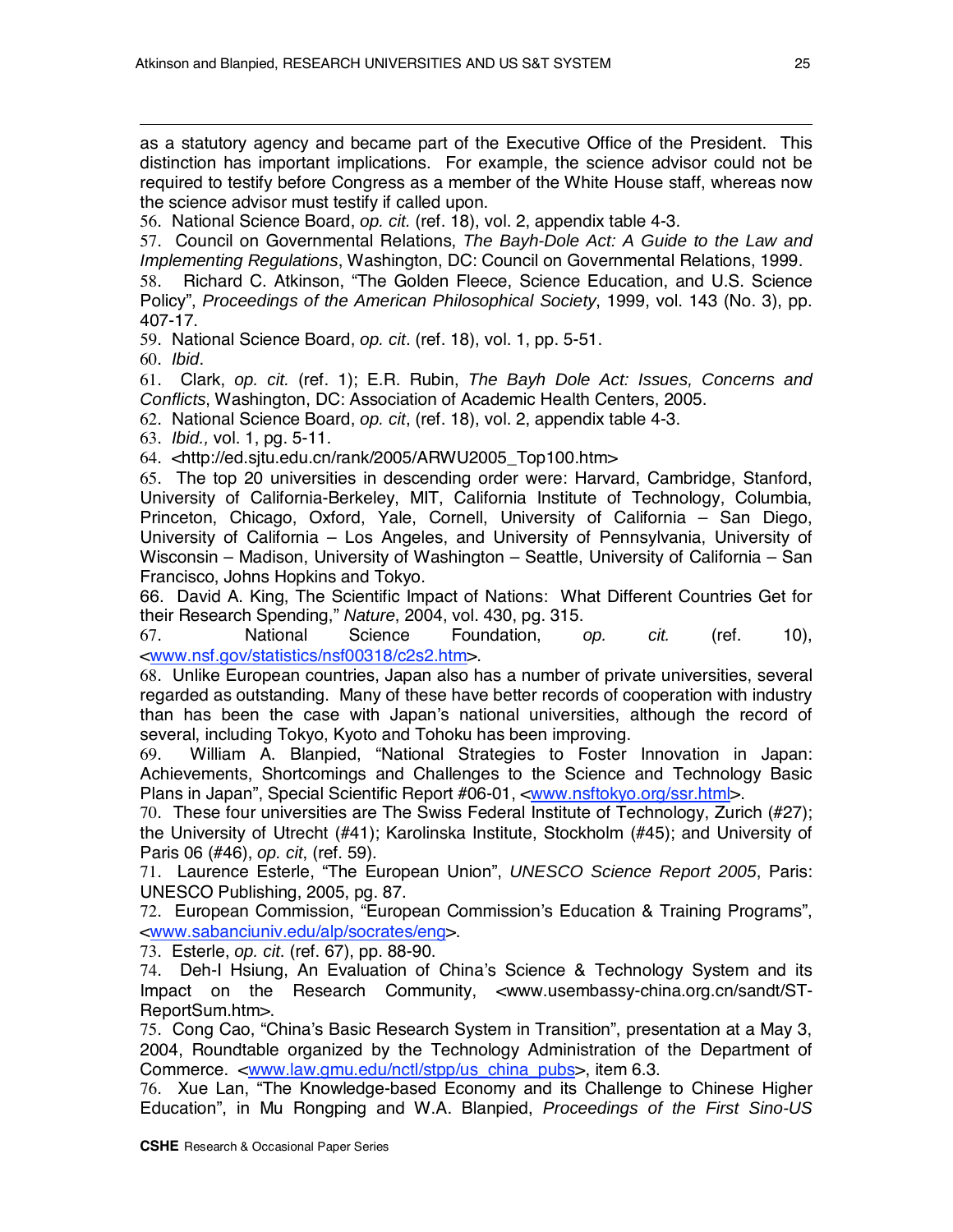as a statutory agency and became part of the Executive Office of the President. This distinction has important implications. For example, the science advisor could not be required to testify before Congress as a member of the White House staff, whereas now the science advisor must testify if called upon.

56. National Science Board, op. cit. (ref. 18), vol. 2, appendix table 4-3.

57. Council on Governmental Relations, The Bayh-Dole Act: A Guide to the Law and Implementing Regulations, Washington, DC: Council on Governmental Relations, 1999.

58. Richard C. Atkinson, "The Golden Fleece, Science Education, and U.S. Science Policy", Proceedings of the American Philosophical Society, 1999, vol. 143 (No. 3), pp. 407-17.

59. National Science Board, op. cit. (ref. 18), vol. 1, pp. 5-51.

60. Ibid.

61. Clark, op. cit. (ref. 1); E.R. Rubin, The Bayh Dole Act: Issues, Concerns and Conflicts, Washington, DC: Association of Academic Health Centers, 2005.

62. National Science Board, op. cit, (ref. 18), vol. 2, appendix table 4-3.

63. Ibid., vol. 1, pg. 5-11.

64. <http://ed.sjtu.edu.cn/rank/2005/ARWU2005\_Top100.htm>

65. The top 20 universities in descending order were: Harvard, Cambridge, Stanford, University of California-Berkeley, MIT, California Institute of Technology, Columbia, Princeton, Chicago, Oxford, Yale, Cornell, University of California – San Diego, University of California – Los Angeles, and University of Pennsylvania, University of Wisconsin – Madison, University of Washington – Seattle, University of California – San Francisco, Johns Hopkins and Tokyo.

66. David A. King, The Scientific Impact of Nations: What Different Countries Get for their Research Spending," Nature, 2004, vol. 430, pg. 315.

67. National Science Foundation, op. cit. (ref. 10), <www.nsf.gov/statistics/nsf00318/c2s2.htm>.

68. Unlike European countries, Japan also has a number of private universities, several regarded as outstanding. Many of these have better records of cooperation with industry than has been the case with Japan's national universities, although the record of several, including Tokyo, Kyoto and Tohoku has been improving.

69. William A. Blanpied, "National Strategies to Foster Innovation in Japan: Achievements, Shortcomings and Challenges to the Science and Technology Basic Plans in Japan", Special Scientific Report #06-01, <www.nsftokyo.org/ssr.html>.

70. These four universities are The Swiss Federal Institute of Technology, Zurich (#27); the University of Utrecht (#41); Karolinska Institute, Stockholm (#45); and University of Paris 06 (#46), op. cit, (ref. 59).

71. Laurence Esterle, "The European Union", UNESCO Science Report 2005, Paris: UNESCO Publishing, 2005, pg. 87.

72. European Commission, "European Commission's Education & Training Programs", <www.sabanciuniv.edu/alp/socrates/eng>.

73. Esterle, op. cit. (ref. 67), pp. 88-90.

74. Deh-I Hsiung, An Evaluation of China's Science & Technology System and its Impact on the Research Community, <www.usembassy-china.org.cn/sandt/ST-ReportSum.htm>.

75. Cong Cao, "China's Basic Research System in Transition", presentation at a May 3, 2004, Roundtable organized by the Technology Administration of the Department of Commerce. <www.law.gmu.edu/nctl/stpp/us\_china\_pubs>, item 6.3.

76. Xue Lan, "The Knowledge-based Economy and its Challenge to Chinese Higher Education", in Mu Rongping and W.A. Blanpied, Proceedings of the First Sino-US